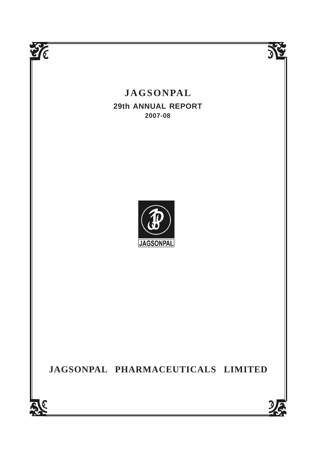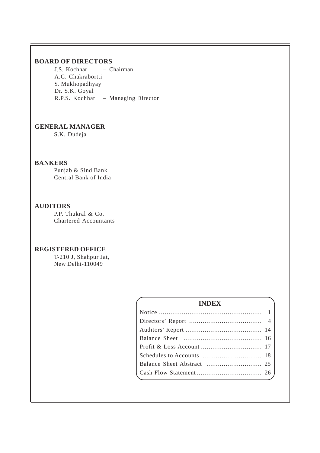## **BOARD OF DIRECTORS**

J.S. Kochhar – Chairman A.C. Chakrabortti S. Mukhopadhyay Dr. S.K. Goyal R.P.S. Kochhar – Managing Director

# **GENERAL MANAGER**

S.K. Dudeja

# **BANKERS**

Punjab & Sind Bank Central Bank of India

## **AUDITORS**

P.P. Thukral & Co. Chartered Accountants

## **REGISTERED OFFICE**

T-210 J, Shahpur Jat, New Delhi-110049

# **INDEX**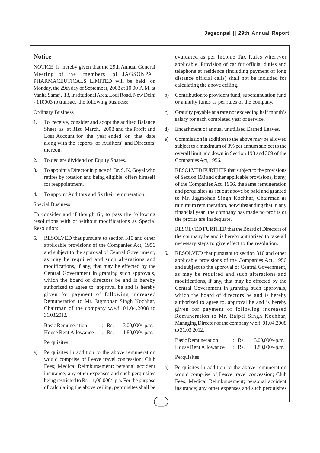## **Notice**

NOTICE is hereby given that the 29th Annual General Meeting of the members of JAGSONPAL PHARMACEUTICALS LIMITED will be held on Monday, the 29th day of September, 2008 at 10.00 A.M. at Vanita Samaj, 13, Institutional Area, Lodi Road, New Delhi - 110003 to transact the following business:

Ordinary Business

- 1. To receive, consider and adopt the audited Balance Sheet as at 31st March, 2008 and the Profit and Loss Account for the year ended on that date along with the reports of Auditors' and Directors' thereon.
- 2. To declare dividend on Equity Shares.
- 3. To appoint a Director in place of Dr. S. K. Goyal who retires by rotation and being eligible, offers himself for reappointment.
- 4. To appoint Auditors and fix their remuneration.

#### Special Business

To consider and if though fit, to pass the following resolutions with or without modifications as Special Resolution:

5. RESOLVED that pursuant to section 310 and other applicable provisions of the Companies Act, 1956 and subject to the approval of Central Government, as may be required and such alterations and modifications, if any, that may be effected by the Central Government in granting such approvals, which the board of directors be and is hereby authorized to agree to, approval be and is hereby given for payment of following increased Remuneration to Mr. Jagmohan Singh Kochhar, Chairman of the company w.e.f. 01.04.2008 to 31.03.2012.

| <b>Basic Remuneration</b>   | $:$ Rs.          | $3,00,000/$ - p.m. |
|-----------------------------|------------------|--------------------|
| <b>House Rent Allowance</b> | $\therefore$ Rs. | $1,80,000$ /- p.m. |

Perquisites

a) Perquisites in addition to the above remuneration would comprise of Leave travel concession; Club Fees; Medical Reimbursement; personal accident insurance; any other expenses and such perquisites being restricted to Rs. 11,00,000/- p.a. For the purpose of calculating the above ceiling, perquisites shall be

evaluated as per Income Tax Rules wherever applicable. Provision of car for official duties and telephone at residence (including payment of long distance official calls) shall not be included for calculating the above ceiling.

- b) Contribution to provident fund, superannuation fund or annuity funds as per rules of the company.
- c) Gratuity payable at a rate not exceeding half month's salary for each completed year of service.
- d) Encashment of annual unutilised Earned Leaves.
- e) Commission in addition to the above may be allowed subject to a maximum of 3% per annum subject to the overall limit laid down in Section 198 and 309 of the Companies Act, 1956.

RESOLVED FURTHER that subject to the provisions of Section 198 and other applicable provisions, if any, of the Companies Act, 1956, the same remuneration and perquisites as set out above be paid and granted to Mr. Jagmohan Singh Kochhar, Chairman as minimum remuneration, notwithstanding that in any financial year the company has made no profits or the profits are inadequate.

RESOLVED FURTHER that the Board of Directors of the company be and is hereby authorised to take all necessary steps to give effect to the resolution.

6. RESOLVED that pursuant to section 310 and other applicable provisions of the Companies Act, 1956 and subject to the approval of Central Government, as may be required and such alterations and modifications, if any, that may be effected by the Central Government in granting such approvals, which the board of directors be and is hereby authorized to agree to, approval be and is hereby given for payment of following increased Remuneration to Mr. Rajpal Singh Kochhar, Managing Director of the company w.e.f. 01.04.2008 to 31.03.2012.

| <b>Basic Remuneration</b> | $:$ Rs. | $3,00,000/$ - p.m. |
|---------------------------|---------|--------------------|
| House Rent Allowance      | $:$ Rs. | $1,80,000$ /- p.m. |
|                           |         |                    |

**Perquisites** 

a) Perquisites in addition to the above remuneration would comprise of Leave travel concession; Club Fees; Medical Reimbursement; personal accident insurance; any other expenses and such perquisites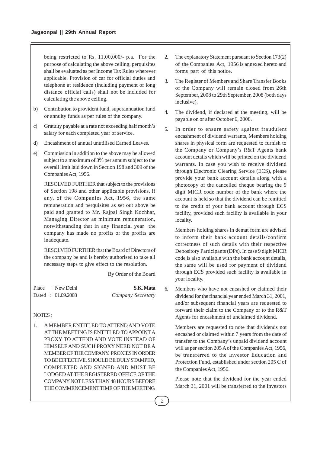being restricted to Rs. 11,00,000/- p.a. For the purpose of calculating the above ceiling, perquisites shall be evaluated as per Income Tax Rules wherever applicable. Provision of car for official duties and telephone at residence (including payment of long distance official calls) shall not be included for calculating the above ceiling.

- b) Contribution to provident fund, superannuation fund or annuity funds as per rules of the company.
- c) Gratuity payable at a rate not exceeding half month's salary for each completed year of service.
- d) Encashment of annual unutilised Earned Leaves.
- e) Commission in addition to the above may be allowed subject to a maximum of 3% per annum subject to the overall limit laid down in Section 198 and 309 of the Companies Act, 1956.

RESOLVED FURTHER that subject to the provisions of Section 198 and other applicable provisions, if any, of the Companies Act, 1956, the same remuneration and perquisites as set out above be paid and granted to Mr. Rajpal Singh Kochhar, Managing Director as minimum remuneration, notwithstanding that in any financial year the company has made no profits or the profits are inadequate.

RESOLVED FURTHER that the Board of Directors of the company be and is hereby authorised to take all necessary steps to give effect to the resolution.

By Order of the Board

|  | Place : New Delhi | S.K. Mata         |
|--|-------------------|-------------------|
|  | Dated: 01.09.2008 | Company Secretary |

#### NOTES :

1. A MEMBER ENTITLED TO ATTEND AND VOTE AT THE MEETING IS ENTITLED TO APPOINT A PROXY TO ATTEND AND VOTE INSTEAD OF HIMSELF AND SUCH PROXY NEED NOT BE A MEMBER OF THE COMPANY. PROXIES IN ORDER TO BE EFFECTIVE, SHOULD BE DULY STAMPED, COMPLETED AND SIGNED AND MUST BE LODGED AT THE REGISTERED OFFICE OF THE COMPANY NOT LESS THAN 48 HOURS BEFORE THE COMMENCEMENT TIME OF THE MEETING.

- 2. The explanatory Statement pursuant to Section 173(2) of the Companies Act, 1956 is annexed hereto and forms part of this notice.
- 3. The Register of Members and Share Transfer Books of the Company will remain closed from 26th September, 2008 to 29th September, 2008 (both days inclusive).
- 4. The dividend, if declared at the meeting, will be payable on or after October 6, 2008.
- 5. In order to ensure safety against fraudulent encashment of dividend warrants, Members holding shares in physical form are requested to furnish to the Company or Company's R&T Agents bank account details which will be printed on the dividend warrants. In case you wish to receive dividend through Electronic Clearing Service (ECS), please provide your bank account details along with a photocopy of the cancelled cheque bearing the 9 digit MICR code number of the bank where the account is held so that the dividend can be remitted to the credit of your bank account through ECS facility, provided such facility is available in your locality.

Members holding shares in demat form are advised to inform their bank account details/confirm correctness of such details with their respective Depository Participants (DPs). In case 9 digit MICR code is also available with the bank account details, the same will be used for payment of dividend through ECS provided such facility is available in your locality.

6. Members who have not encashed or claimed their dividend for the financial year ended March 31, 2001, and/or subsequent financial years are requested to forward their claim to the Company or to the R&T Agents for encashment of unclaimed dividend.

Members are requested to note that dividends not encashed or claimed within 7 years from the date of transfer to the Company's unpaid dividend account will as per section 205 A of the Companies Act, 1956, be transferred to the Investor Education and Protection Fund, established under section 205 C of the Companies Act, 1956.

Please note that the dividend for the year ended March 31, 2001 will be transferred to the Investors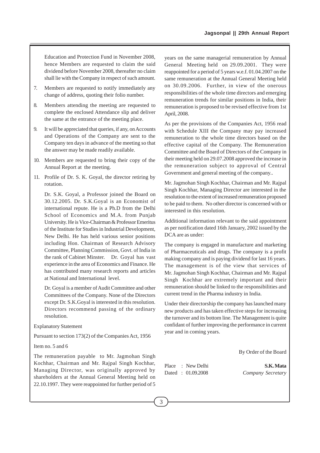Education and Protection Fund in November 2008, hence Members are requested to claim the said dividend before November 2008, thereafter no claim shall lie with the Company in respect of such amount.

- 7. Members are requested to notify immediately any change of address, quoting their folio number.
- 8. Members attending the meeting are requested to complete the enclosed Attendance slip and deliver the same at the entrance of the meeting place.
- 9. It will be appreciated that queries, if any, on Accounts and Operations of the Company are sent to the Company ten days in advance of the meeting so that the answer may be made readily available.
- 10. Members are requested to bring their copy of the Annual Report at the meeting.
- 11. Profile of Dr. S. K. Goyal, the director retiring by rotation.

Dr. S.K. Goyal, a Professor joined the Board on 30.12.2005. Dr. S.K.Goyal is an Economist of international repute. He is a Ph.D from the Delhi School of Economics and M.A. from Punjab University. He is Vice-Chairman & Professor Emeritus of the Institute for Studies in Industrial Development, New Delhi. He has held various senior positions including Hon. Chairman of Research Advisory Committee, Planning Commission, Govt. of India in the rank of Cabinet Minster. Dr. Goyal has vast experience in the area of Economics and Finance. He has contributed many research reports and articles at National and International level.

Dr. Goyal is a member of Audit Committee and other Committees of the Company. None of the Directors except Dr. S.K.Goyal is interested in this resolution. Directors recommend passing of the ordinary resolution.

## Explanatory Statement

Pursuant to section 173(2) of the Companies Act, 1956

#### Item no. 5 and 6

The remuneration payable to Mr. Jagmohan Singh Kochhar, Chairman and Mr. Rajpal Singh Kochhar, Managing Director, was originally approved by shareholders at the Annual General Meeting held on 22.10.1997. They were reappointed for further period of 5

years on the same managerial remuneration by Annual General Meeting held on 29.09.2001. They were reappointed for a period of 5 years w.e.f. 01.04.2007 on the same remuneration at the Annual General Meeting held on 30.09.2006. Further, in view of the onerous responsibilities of the whole time directors and emerging remuneration trends for similar positions in India, their remuneration is proposed to be revised effective from 1st April, 2008.

As per the provisions of the Companies Act, 1956 read with Schedule XIII the Company may pay increased remuneration to the whole time directors based on the effective capital of the Company. The Remuneration Committee and the Board of Directors of the Company in their meeting held on 29.07.2008 approved the increase in the remuneration subject to approval of Central Government and general meeting of the company..

Mr. Jagmohan Singh Kochhar, Chairman and Mr. Rajpal Singh Kochhar, Managing Director are interested in the resolution to the extent of increased remuneration proposed to be paid to them. No other director is concerned with or interested in this resolution.

Additional information relevant to the said appointment as per notification dated 16th January, 2002 issued by the DCA are as under:

The company is engaged in manufacture and marketing of Pharmaceuticals and drugs. The company is a profit making company and is paying dividend for last 16 years. The management is of the view that services of Mr. Jagmohan Singh Kochhar, Chairman and Mr. Rajpal Singh Kochhar are extremely important and their remuneration should be linked to the responsibilities and current trend in the Pharma industry in India.

Under their directorship the company has launched many new products and has taken effective steps for increasing the turnover and its bottom line. The Management is quite confidant of further improving the performance in current year and in coming years.

By Order of the Board

Dated : 01.09.2008 *Company Secretary*

Place : New Delhi **S.K. Mata**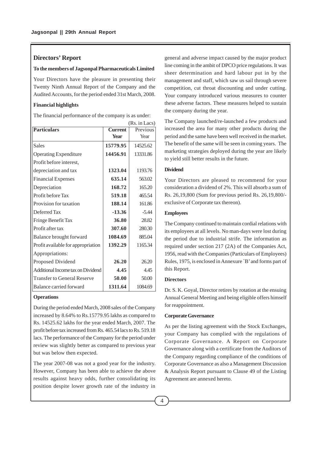## **Directors' Report**

#### **To the members of Jagsonpal Pharmaceuticals Limited**

Your Directors have the pleasure in presenting their Twenty Ninth Annual Report of the Company and the Audited Accounts, for the period ended 31st March, 2008.

#### **Financial highlights**

The financial performance of the company is as under:

|                                    |                | (Rs. in Lacs) |
|------------------------------------|----------------|---------------|
| <b>Particulars</b>                 | <b>Current</b> | Previous      |
|                                    | Year           | Year          |
| <b>Sales</b>                       | 15779.95       | 14525.62      |
| <b>Operating Expenditure</b>       | 14456.91       | 13331.86      |
| Profit before interest,            |                |               |
| depreciation and tax               | 1323.04        | 1193.76       |
| <b>Financial Expenses</b>          | 635.14         | 563.02        |
| Depreciation                       | 168.72         | 165.20        |
| Profit before Tax                  | 519.18         | 465.54        |
| Provision for taxation             | 188.14         | 161.86        |
| Deferred Tax                       | $-13.36$       | $-5.44$       |
| Fringe Benefit Tax                 | 36.80          | 28.82         |
| Profit after tax                   | 307.60         | 280.30        |
| Balance brought forward            | 1084.69        | 885.04        |
| Profit available for appropriation | 1392.29        | 1165.34       |
| Appropriations:                    |                |               |
| Proposed Dividend                  | 26.20          | 26.20         |
| Additional Income tax on Dividend  | 4.45           | 4.45          |
| <b>Transfer to General Reserve</b> | 50.00          | 50.00         |
| Balance carried forward            | 1311.64        | 1084.69       |

#### **Operations**

During the period ended March, 2008 sales of the Company increased by 8.64% to Rs.15779.95 lakhs as compared to Rs. 14525.62 lakhs for the year ended March, 2007. The profit before tax increased from Rs. 465.54 lacs to Rs. 519.18 lacs. The performance of the Company for the period under review was slightly better as compared to previous year but was below then expected.

The year 2007-08 was not a good year for the industry. However, Company has been able to achieve the above results against heavy odds, further consolidating its position despite lower growth rate of the industry in

general and adverse impact caused by the major product line coming in the ambit of DPCO price regulations. It was sheer determination and hard labour put in by the management and staff, which saw us sail through severe competition, cut throat discounting and under cutting. Your company introduced various measures to counter these adverse factors. These measures helped to sustain the company during the year.

The Company launched/re-launched a few products and increased the area for many other products during the period and the same have been well received in the market. The benefit of the same will be seen in coming years. The marketing strategies deployed during the year are likely to yield still better results in the future.

## **Dividend**

Your Directors are pleased to recommend for your consideration a dividend of 2%. This will absorb a sum of Rs. 26,19,800 (Sum for previous period Rs. 26,19,800/ exclusive of Corporate tax thereon).

#### **Employees**

The Company continued to maintain cordial relations with its employees at all levels. No man-days were lost during the period due to industrial strife. The information as required under section 217 (2A) of the Companies Act, 1956, read with the Companies (Particulars of Employees) Rules, 1975, is enclosed in Annexure `B' and forms part of this Report.

## **Directors**

Dr. S. K. Goyal, Director retires by rotation at the ensuing Annual General Meeting and being eligible offers himself for reappointment.

#### **Corporate Governance**

As per the listing agreement with the Stock Exchanges, your Company has complied with the regulations of Corporate Governance. A Report on Corporate Governance along with a certificate from the Auditors of the Company regarding compliance of the conditions of Corporate Governance as also a Management Discussion & Analysis Report pursuant to Clause 49 of the Listing Agreement are annexed hereto.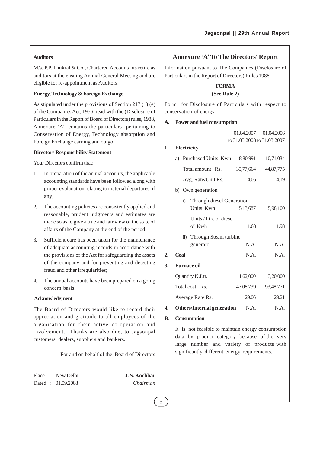## **Auditors**

M/s. P.P. Thukral & Co., Chartered Accountants retire as auditors at the ensuing Annual General Meeting and are eligible for re-appointment as Auditors.

## **Energy, Technology & Foreign Exchange**

As stipulated under the provisions of Section 217 (1) (e) of the Companies Act, 1956, read with the (Disclosure of Particulars in the Report of Board of Directors) rules, 1988, Annexure 'A' contains the particulars pertaining to Conservation of Energy, Technology absorption and Foreign Exchange earning and outgo.

#### **Directors Responsibility Statement**

Your Directors confirm that:

- 1. In preparation of the annual accounts, the applicable accounting standards have been followed along with proper explanation relating to material departures, if any;
- 2. The accounting policies are consistently applied and reasonable, prudent judgments and estimates are made so as to give a true and fair view of the state of affairs of the Company at the end of the period.
- 3. Sufficient care has been taken for the maintenance of adequate accounting records in accordance with the provisions of the Act for safeguarding the assets of the company and for preventing and detecting fraud and other irregularities;
- 4. The annual accounts have been prepared on a going concern basis.

#### **Acknowledgment**

The Board of Directors would like to record their appreciation and gratitude to all employees of the organisation for their active co-operation and involvement. Thanks are also due, to Jagsonpal customers, dealers, suppliers and bankers.

For and on behalf of the Board of Directors

Place : New Delhi. **J. S. Kochhar** Dated : 01.09.2008 *Chairman*

## **Annexure 'A' To The Directors' Report**

Information pursuant to The Companies (Disclosure of Particulars in the Report of Directors) Rules 1988.

## **FORM A**

## **(See Rule 2)**

Form for Disclosure of Particulars with respect to conservation of energy.

#### **A. Power and fuel consumption**

01.04.2007 01.04.2006 to 31.03.2008 to 31.03.2007

## **1. Electricity**

| a) Purchased Units Kwh | 8.80.991  | 10,71,034 |
|------------------------|-----------|-----------|
| Total amount Rs.       | 35,77,664 | 44,87,775 |

- Avg. Rate/Unit Rs. 4.06 4.19
- b) Own generation

|    | i)                 | Through diesel Generation          |           |           |
|----|--------------------|------------------------------------|-----------|-----------|
|    |                    | Units Kwh                          | 5,13,687  | 5,98,100  |
|    |                    | Units / litre of diesel<br>oil Kwh | 1.68      | 1.98      |
|    |                    | ii) Through Steam turbine          |           |           |
|    |                    | generator                          | N.A.      | N.A.      |
| 2. | Coal               |                                    | N.A.      | N.A.      |
| 3. | <b>Furnace oil</b> |                                    |           |           |
|    |                    | Quantity K.Ltr.                    | 1,62,000  | 3,20,000  |
|    |                    | Total cost Rs.                     | 47.08.739 | 93.48.771 |

**4.** Others/Internal generation N.A. N.A.

Average Rate Rs. 29.06 29.21

#### **B. Consumption**

It is not feasible to maintain energy consumption data by product category because of the very large number and variety of products with significantly different energy requirements.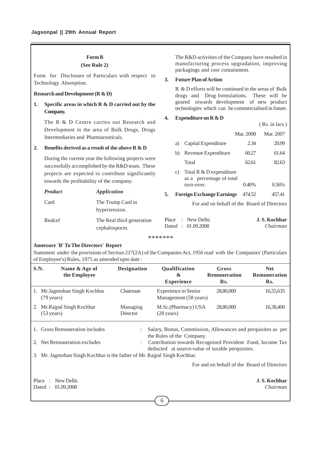## **Form B**

#### **(See Rule 2)**

Form for Disclosure of Particulars with respect to Technology Absorption.

## **Research and Development (R & D)**

**1. Specific areas in which R & D carried out by the Company.**

The R & D Centre carries out Research and Development in the area of Bulk Drugs, Drugs Intermediaries and Pharmaceuticals.

## **2. Benefits derived as a result of the above R & D**

The R&D activities of the Company have resulted in manufacturing process upgradation, improving packagings and cost containment.

#### **3. Future Plan of Action**

R & D efforts will be continued in the areas of Bulk drugs and Drug formulations. These will be geared towards development of new product technologies which can be commercialised in future.

#### **4. Expenditure on R & D**

|                                                                                                                                                                                                           | The R & D Centre carries out Research and    |       |                                                           |                 | (Rs. in lacs)                   |
|-----------------------------------------------------------------------------------------------------------------------------------------------------------------------------------------------------------|----------------------------------------------|-------|-----------------------------------------------------------|-----------------|---------------------------------|
| Intermediaries and Pharmaceuticals.                                                                                                                                                                       | Development in the area of Bulk Drugs, Drugs |       |                                                           | Mar. 2008       | Mar. 2007                       |
| Benefits derived as a result of the above R $\&$ D                                                                                                                                                        |                                              |       | Capital Expenditure<br>a)                                 | 2.34            | 20.99                           |
|                                                                                                                                                                                                           |                                              |       | Revenue Expenditure<br>b)                                 | 60.27           | 61.64                           |
| During the current year the following projects were<br>successfully accomplished by the R&D team. These<br>projects are expected to contribute significantly<br>towards the profitability of the company. |                                              |       | Total                                                     | 62.61           | 82.63                           |
|                                                                                                                                                                                                           |                                              |       | Total R & D expenditure<br>C)<br>as a percentage of total |                 |                                 |
| <b>Product</b>                                                                                                                                                                                            | Application                                  | 5.    | turn-over.<br><b>Foreign Exchange Earnings</b>            | 0.40%<br>474.52 | 0.56%<br>457.41                 |
| Card                                                                                                                                                                                                      | The Trump Card in<br>hypertension.           |       | For and on behalf of the Board of Directors               |                 |                                 |
| Realcef                                                                                                                                                                                                   | The Real third generation<br>cephalosporin.  | Place | : New Delhi.<br>Dated: 01.09.2008                         |                 | <b>J.S. Kochhar</b><br>Chairman |

\*\*\*\*\*\*\*

#### **Annexure `B' To The Directors' Report**

Statement under the provisions of Section 217(2A) of the Companies Act, 1956 read with the Companies' (Particulars of Employee's) Rules, 1975 as amended upto date :

| S.N. | Name & Age of<br>the Employee                                         | <b>Designation</b>   | Qualification<br>$\boldsymbol{\alpha}$<br><b>Experience</b>                                                    | Gross<br><b>Remuneration</b><br>Rs. | <b>Net</b><br><b>Remuneration</b><br>Rs.    |
|------|-----------------------------------------------------------------------|----------------------|----------------------------------------------------------------------------------------------------------------|-------------------------------------|---------------------------------------------|
| 1.   | Mr. Jagmohan Singh Kochhar<br>$(79 \text{ years})$                    | Chairman             | Experience in Senior<br>Management (58 years)                                                                  | 28,80,000                           | 16,55,635                                   |
| 2.   | Mr.Rajpal Singh Kochhar<br>$(53 \text{ years})$                       | Managing<br>Director | M.Sc.(Pharmacy) USA<br>$(28 \text{ years})$                                                                    | 28,80,000                           | 16,38,400                                   |
|      | <b>Gross Remuneration includes</b>                                    |                      | Salary, Bonus, Commission, Allowances and perquisites as per<br>the Rules of the Company.                      |                                     |                                             |
|      | Net Remuneration excludes                                             |                      | Contribution towards Recognised Provident Fund, Income Tax<br>deducted at source-value of taxable perquisites. |                                     |                                             |
| 3.   | Mr. Jagmohan Singh Kochhar is the father of Mr. Rajpal Singh Kochhar. |                      |                                                                                                                |                                     |                                             |
|      |                                                                       |                      |                                                                                                                |                                     | For and on behalf of the Board of Directors |
|      | New Delhi.<br>Place<br>$\cdot$<br>01.09.2008<br>Dated :               |                      |                                                                                                                |                                     | <b>J.S. Kochhar</b><br>Chairman             |
|      |                                                                       |                      | 6                                                                                                              |                                     |                                             |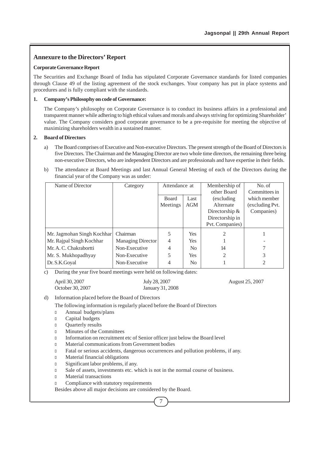## **Annexure to the Directors' Report**

#### **Corporate Governance Report**

The Securities and Exchange Board of India has stipulated Corporate Governance standards for listed companies through Clause 49 of the listing agreement of the stock exchanges. Your company has put in place systems and procedures and is fully compliant with the standards.

#### **1. Company's Philosophy on code of Governance:**

The Company's philosophy on Corporate Governance is to conduct its business affairs in a professional and transparent manner while adhering to high ethical values and morals and always striving for optimizing Shareholder' value. The Company considers good corporate governance to be a pre-requisite for meeting the objective of maximizing shareholders wealth in a sustained manner.

#### **2. Board of Directors**

- a) The Board comprises of Executive and Non-executive Directors. The present strength of the Board of Directors is five Directors. The Chairman and the Managing Director are two whole time directors, the remaining three being non-executive Directors, who are independent Directors and are professionals and have expertise in their fields.
- b) The attendance at Board Meetings and last Annual General Meeting of each of the Directors during the financial year of the Company was as under:

| Name of Director           | Category                 | Attendance at |                | Membership of    | No. of          |
|----------------------------|--------------------------|---------------|----------------|------------------|-----------------|
|                            |                          |               |                | other Board      | Committees in   |
|                            |                          | <b>Board</b>  | Last           | (excluding)      | which member    |
|                            |                          | Meetings      | AGM            | Alternate        | (excluding Pvt. |
|                            |                          |               |                | Directorship $&$ | Companies)      |
|                            |                          |               |                | Directorship in  |                 |
|                            |                          |               |                | Pvt. Companies)  |                 |
| Mr. Jagmohan Singh Kochhar | Chairman                 | 5             | Yes            | 2                |                 |
| Mr. Rajpal Singh Kochhar   | <b>Managing Director</b> | 4             | Yes            |                  |                 |
| Mr. A. C. Chakrabortti     | Non-Executive            | 4             | N <sub>0</sub> | 14               |                 |
| Mr. S. Mukhopadhyay        | Non-Executive            | 5             | <b>Yes</b>     | 2                | 3               |
| Dr. S.K. Goyal             | Non-Executive            | 4             | N <sub>0</sub> |                  | 2               |

c) During the year five board meetings were held on following dates:

| April 30, 2007   | July 28, 2007    | August 25, 2007 |
|------------------|------------------|-----------------|
| October 30, 2007 | January 31, 2008 |                 |

d) Information placed before the Board of Directors

The following information is regularly placed before the Board of Directors

- <sup>l</sup> Annual budgets/plans
- <sup>l</sup> Capital budgets
- <sup>l</sup> Quarterly results
- <sup>l</sup> Minutes of the Committees
- <sup>l</sup> Information on recruitment etc of Senior officer just below the Board level
- <sup>l</sup> Material communications from Government bodies
- <sup>l</sup> Fatal or serious accidents, dangerous occurrences and pollution problems, if any.
- <sup>l</sup> Material financial obligations
- <sup>l</sup> Significant labor problems, if any.
- <sup>l</sup> Sale of assets, investments etc. which is not in the normal course of business.
- <sup>l</sup> Material transactions
- **Compliance with statutory requirements**

Besides above all major decisions are considered by the Board.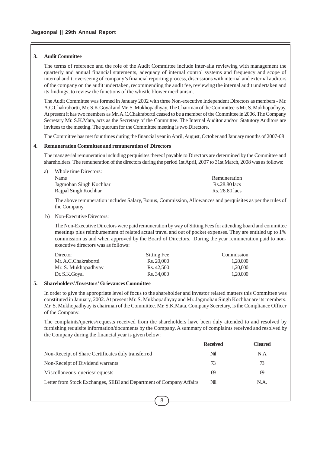#### **3. Audit Committee**

The terms of reference and the role of the Audit Committee include inter-alia reviewing with management the quarterly and annual financial statements, adequacy of internal control systems and frequency and scope of internal audit, overseeing of company's financial reporting process, discussions with internal and external auditors of the company on the audit undertaken, recommending the audit fee, reviewing the internal audit undertaken and its findings, to review the functions of the whistle blower mechanism.

The Audit Committee was formed in January 2002 with three Non-executive Independent Directors as members - Mr. A.C.Chakrabortti, Mr. S.K.Goyal and Mr. S. Mukhopadhyay. The Chairman of the Committee is Mr. S. Mukhopadhyay. At present it has two members as Mr. A.C.Chakrabortti ceased to be a member of the Committee in 2006. The Company Secretary Mr. S.K.Mata, acts as the Secretary of the Committee. The Internal Auditor and/or Statutory Auditors are invitees to the meeting. The quorum for the Committee meeting is two Directors.

The Committee has met four times during the financial year in April, August, October and January months of 2007-08

#### **4. Remuneration Committee and remuneration of Directors**

The managerial remuneration including perquisites thereof payable to Directors are determined by the Committee and shareholders. The remuneration of the directors during the period 1st April, 2007 to 31st March, 2008 was as follows:

| Name                   | Remuneration   |
|------------------------|----------------|
| Jagmohan Singh Kochhar | Rs.28.80 lacs  |
| Rajpal Singh Kochhar   | Rs. 28.80 lacs |

The above remuneration includes Salary, Bonus, Commission, Allowances and perquisites as per the rules of the Company.

#### b) Non-Executive Directors:

a) Whole time Directors:

The Non-Executive Directors were paid remuneration by way of Sitting Fees for attending board and committee meetings plus reimbursement of related actual travel and out of pocket expenses. They are entitled up to 1% commission as and when approved by the Board of Directors. During the year remuneration paid to nonexecutive directors was as follows:

| Director             | Sitting Fee | Commission |
|----------------------|-------------|------------|
| Mr. A.C.Chakrabortti | Rs. 20,000  | 1.20,000   |
| Mr. S. Mukhopadhyay  | Rs. 42.500  | 1,20,000   |
| Dr. S.K.Goval        | Rs. 34,000  | 1.20,000   |

#### **5. Shareholders'/Investors' Grievances Committee**

In order to give the appropriate level of focus to the shareholder and investor related matters this Committee was constituted in January, 2002. At present Mr. S. Mukhopadhyay and Mr. Jagmohan Singh Kochhar are its members. Mr. S. Mukhopadhyay is chairman of the Committee. Mr. S.K.Mata, Company Secretary, is the Compliance Officer of the Company.

The complaints/queries/requests received from the shareholders have been duly attended to and resolved by furnishing requisite information/documents by the Company. A summary of complaints received and resolved by the Company during the financial year is given below:

|                                                                     | <b>Received</b> | <b>Cleared</b> |
|---------------------------------------------------------------------|-----------------|----------------|
| Non-Receipt of Share Certificates duly transferred                  | Nil             | N.A            |
| Non-Receipt of Dividend warrants                                    | 73              | 73             |
| Miscellaneous queries/requests                                      | 69              | 69             |
| Letter from Stock Exchanges, SEBI and Department of Company Affairs | Nil             | N.A.           |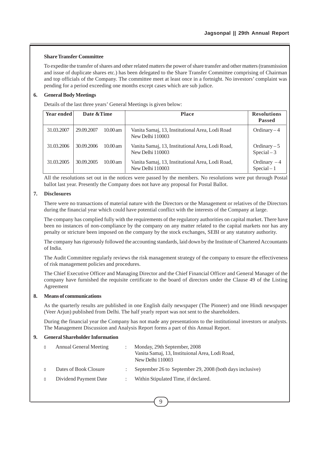#### **Share Transfer Committee**

To expedite the transfer of shares and other related matters the power of share transfer and other matters (transmission and issue of duplicate shares etc.) has been delegated to the Share Transfer Committee comprising of Chairman and top officials of the Company. The committee meet at least once in a fortnight. No investors' complaint was pending for a period exceeding one months except cases which are sub judice.

#### **6. General Body Meetings**

Details of the last three years' General Meetings is given below:

| Year ended | Date & Time |                    | <b>Place</b>                                                         | <b>Resolutions</b><br><b>Passed</b> |
|------------|-------------|--------------------|----------------------------------------------------------------------|-------------------------------------|
| 31.03.2007 | 29.09.2007  | $10.00 \text{ am}$ | Vanita Samaj, 13, Institutional Area, Lodi Road<br>New Delhi 110003  | Ordinary $-4$                       |
| 31.03.2006 | 30.09.2006  | $10.00$ am         | Vanita Samaj, 13, Institutional Area, Lodi Road,<br>New Delhi 110003 | Ordinary $-5$<br>$Special-3$        |
| 31.03.2005 | 30.09.2005  | $10.00$ am         | Vanita Samaj, 13, Institutional Area, Lodi Road,<br>New Delhi 110003 | Ordinary $-4$<br>$Special-1$        |

All the resolutions set out in the notices were passed by the members. No resolutions were put through Postal ballot last year. Presently the Company does not have any proposal for Postal Ballot.

### **7. Disclosures**

There were no transactions of material nature with the Directors or the Management or relatives of the Directors during the financial year which could have potential conflict with the interests of the Company at large.

The company has complied fully with the requirements of the regulatory authorities on capital market. There have been no instances of non-compliance by the company on any matter related to the capital markets nor has any penalty or stricture been imposed on the company by the stock exchanges, SEBI or any statutory authority.

The company has rigorously followed the accounting standards, laid down by the Institute of Chartered Accountants of India.

The Audit Committee regularly reviews the risk management strategy of the company to ensure the effectiveness of risk management policies and procedures.

The Chief Executive Officer and Managing Director and the Chief Financial Officer and General Manager of the company have furnished the requisite certificate to the board of directors under the Clause 49 of the Listing Agreement

#### **8. Means of communications**

As the quarterly results are published in one English daily newspaper (The Pioneer) and one Hindi newspaper (Veer Arjun) published from Delhi. The half yearly report was not sent to the shareholders.

During the financial year the Company has not made any presentations to the institutional investors or analysts. The Management Discussion and Analysis Report forms a part of this Annual Report.

#### **9. General Shareholder Information**

| <b>Annual General Meeting</b> | Monday, 29th September, 2008<br>Vanita Samaj, 13, Instituional Area, Lodi Road,<br>New Delhi 110003 |
|-------------------------------|-----------------------------------------------------------------------------------------------------|
| Dates of Book Closure         | September 26 to September 29, 2008 (both days inclusive)                                            |
| Dividend Payment Date         | Within Stipulated Time, if declared.                                                                |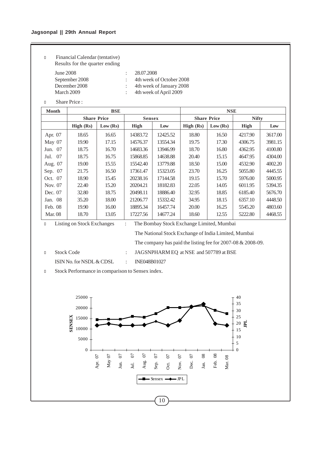## **Jagsonpal || 29th Annual Report**

<sup>l</sup> Financial Calendar (tentative) Results for the quarter ending

June 2008 : 28.07.2008<br>September 2008 : 4th week o

: 4th week of October 2008 December 2008 : 4th week of January 2008 March 2009 : 4th week of April 2009

<sup>l</sup> Share Price :

| <b>Month</b>   |                    | <b>BSE</b> |               |          |           | <b>NSE</b>         |              |         |
|----------------|--------------------|------------|---------------|----------|-----------|--------------------|--------------|---------|
|                | <b>Share Price</b> |            | <b>Sensex</b> |          |           | <b>Share Price</b> | <b>Nifty</b> |         |
|                | High $(Rs)$        | Low (Rs)   | High          | Low      | High (Rs) | Low (Rs)           | High         | Low     |
| Apr. 07        | 18.65              | 16.65      | 14383.72      | 12425.52 | 18.80     | 16.50              | 4217.90      | 3617.00 |
| May 07         | 19.90              | 17.15      | 14576.37      | 13554.34 | 19.75     | 17.30              | 4306.75      | 3981.15 |
| Jun. 07        | 18.75              | 16.70      | 14683.36      | 13946.99 | 18.70     | 16.80              | 4362.95      | 4100.80 |
| Jul. 07        | 18.75              | 16.75      | 15868.85      | 14638.88 | 20.40     | 15.15              | 4647.95      | 4304.00 |
| Aug. 07        | 19.00              | 15.55      | 15542.40      | 13779.88 | 18.50     | 15.00              | 4532.90      | 4002.20 |
| Sep. 07        | 21.75              | 16.50      | 17361.47      | 15323.05 | 23.70     | 16.25              | 5055.80      | 4445.55 |
| Oct. 07        | 18.90              | 15.45      | 20238.16      | 17144.58 | 19.15     | 15.70              | 5976.00      | 5000.95 |
| Nov. 07        | 22.40              | 15.20      | 20204.21      | 18182.83 | 22.05     | 14.05              | 6011.95      | 5394.35 |
| Dec. 07        | 32.80              | 18.75      | 20498.11      | 18886.40 | 32.95     | 18.85              | 6185.40      | 5676.70 |
| Jan. 08        | 35.20              | 18.00      | 21206.77      | 15332.42 | 34.95     | 18.15              | 6357.10      | 4448.50 |
| Feb. 08        | 19.90              | 16.00      | 18895.34      | 16457.74 | 20.00     | 16.25              | 5545.20      | 4803.60 |
| <b>Mar. 08</b> | 18.70              | 13.05      | 17227.56      | 14677.24 | 18.60     | 12.55              | 5222.80      | 4468.55 |

<sup>l</sup> Listing on Stock Exchanges : The Bombay Stock Exchange Limited, Mumbai

The National Stock Exchange of India Limited, Mumbai The company has paid the listing fee for 2007-08 & 2008-09.

<sup>l</sup> Stock Code : JAGSNPHARM EQ at NSE and 507789 at BSE

ISIN No. for NSDL & CDSL : INE048B01027

<sup>l</sup> Stock Performance in comparison to Sensex index.

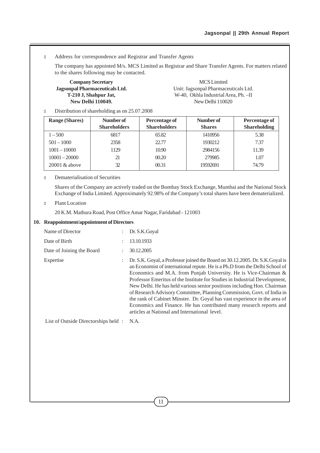## <sup>l</sup> Address for correspondence and Registrar and Transfer Agents

The company has appointed M/s. MCS Limited as Registrar and Share Transfer Agents. For matters related to the shares following may be contacted.

**Company Secretary** MCS Limited<br> **Jagsonpal Pharmaceuticals Ltd.** Unit: Jagsonpal Pharmaceuticals Ltd.

Unit: Jagsonpal Pharmaceuticals Ltd. **T-210 J, Shahpur Jat,** W-40, Okhla Industrial Area, Ph. –II **New Delhi 110049.** New Delhi 110020

<sup>l</sup> Distribution of shareholding as on 25.07.2008

| <b>Range (Shares)</b> | Number of<br><b>Shareholders</b> | Percentage of<br><b>Shareholders</b> | Number of<br><b>Shares</b> | Percentage of<br><b>Shareholding</b> |
|-----------------------|----------------------------------|--------------------------------------|----------------------------|--------------------------------------|
| $1 - 500$             | 6817                             | 65.82                                | 1410956                    | 5.38                                 |
| $501 - 1000$          | 2358                             | 22.77                                | 1930212                    | 7.37                                 |
| $1001 - 10000$        | 1129                             | 10.90                                | 2984156                    | 11.39                                |
| $10001 - 20000$       | 21                               | 00.20                                | 279985                     | 1.07                                 |
| $20001 \&$ above      | 32                               | 00.31                                | 19592691                   | 74.79                                |

#### l Dematerialisation of Securities

Shares of the Company are actively traded on the Bombay Stock Exchange, Mumbai and the National Stock Exchange of India Limited. Approximately 92.98% of the Company's total shares have been dematerialized.

#### **D** Plant Location

20 K.M. Mathura Road, Post Office Amar Nagar, Faridabad - 121003

#### **10. Reappointment/appointment of Directors**

| Name of Director                    | $\mathcal{L}$             | Dr. S.K.Goyal                                                                                                                                                                                                                                                                                                                                                                                                                                                                                                                                                                                                                                                            |
|-------------------------------------|---------------------------|--------------------------------------------------------------------------------------------------------------------------------------------------------------------------------------------------------------------------------------------------------------------------------------------------------------------------------------------------------------------------------------------------------------------------------------------------------------------------------------------------------------------------------------------------------------------------------------------------------------------------------------------------------------------------|
| Date of Birth                       | $\bullet$                 | 13.10.1933                                                                                                                                                                                                                                                                                                                                                                                                                                                                                                                                                                                                                                                               |
| Date of Joining the Board           |                           | 30.12.2005                                                                                                                                                                                                                                                                                                                                                                                                                                                                                                                                                                                                                                                               |
| Expertise                           | $\mathbb{R}^{\mathbb{Z}}$ | Dr. S.K. Goyal, a Professor joined the Board on 30.12.2005. Dr. S.K. Goyal is<br>an Economist of international repute. He is a Ph.D from the Delhi School of<br>Economics and M.A. from Punjab University. He is Vice-Chairman &<br>Professor Emeritus of the Institute for Studies in Industrial Development,<br>New Delhi. He has held various senior positions including Hon. Chairman<br>of Research Advisory Committee, Planning Commission, Govt. of India in<br>the rank of Cabinet Minster. Dr. Goyal has vast experience in the area of<br>Economics and Finance. He has contributed many research reports and<br>articles at National and International level. |
| List of Outside Directorships held: |                           | N.A.                                                                                                                                                                                                                                                                                                                                                                                                                                                                                                                                                                                                                                                                     |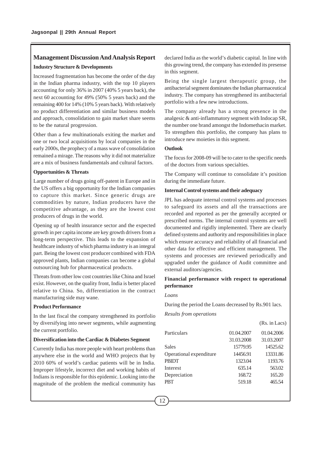## **Management Discussion And Analysis Report**

#### **Industry Structure & Developments**

Increased fragmentation has become the order of the day in the Indian pharma industry, with the top 10 players accounting for only 36% in 2007 (40% 5 years back), the next 60 accounting for 49% (50% 5 years back) and the remaining 400 for 14% (10% 5 years back). With relatively no product differentiation and similar business models and approach, consolidation to gain market share seems to be the natural progression.

Other than a few multinationals exiting the market and one or two local acquisitions by local companies in the early 2000s, the prophecy of a mass wave of consolidation remained a mirage. The reasons why it did not materialize are a mix of business fundamentals and cultural factors.

#### **Opportunities & Threats**

Large number of drugs going off-patent in Europe and in the US offers a big opportunity for the Indian companies to capture this market. Since generic drugs are commodities by nature, Indian producers have the competitive advantage, as they are the lowest cost producers of drugs in the world.

Opening up of health insurance sector and the expected growth in per capita income are key growth drivers from a long-term perspective. This leads to the expansion of healthcare industry of which pharma industry is an integral part. Being the lowest cost producer combined with FDA approved plants, Indian companies can become a global outsourcing hub for pharmaceutical products.

Threats from other low cost countries like China and Israel exist. However, on the quality front, India is better placed relative to China. So, differentiation in the contract manufacturing side may wane.

#### **Product Performance**

In the last fiscal the company strengthened its portfolio by diversifying into newer segments, while augmenting the current portfolio.

#### **Diversification into the Cardiac & Diabetes Segment**

Currently India has more people with heart problems than anywhere else in the world and WHO projects that by 2010 60% of world's cardiac patients will be in India. Improper lifestyle, incorrect diet and working habits of Indians is responsible for this epidemic. Looking into the magnitude of the problem the medical community has

declared India as the world's diabetic capital. In line with this growing trend, the company has extended its presense in this segment.

Being the single largest therapeutic group, the antibacterial segment dominates the Indian pharmaceutical industry. The company has strengthened its antibacterial portfolio with a few new introductions.

The company already has a strong presence in the analgesic & anti-inflammatory segment with Indocap SR, the number one brand amongst the Indomethacin market. To strengthen this portfolio, the company has plans to introduce new moieties in this segment.

## **Outlook**

The focus for 2008-09 will be to cater to the specific needs of the doctors from various specialties.

The Company will continue to consolidate it's position during the immediate future.

#### **Internal Control systems and their adequacy**

JPL has adequate internal control systems and processes to safeguard its assets and all the transactions are recorded and reported as per the generally accepted or prescribed norms. The internal control systems are well documented and rigidly implemented. There are clearly defined systems and authority and responsibilities in place which ensure accuracy and reliability of all financial and other data for effective and efficient management. The systems and processes are reviewed periodically and upgraded under the guidance of Audit committee and external auditors/agencies.

## **Financial performance with respect to operational performance**

#### *Loans*

During the period the Loans decreased by Rs.901 lacs.

*Results from operations*

|                         |            | (Rs. in Lacs) |
|-------------------------|------------|---------------|
| Particulars             | 01.04.2007 | 01.04.2006    |
|                         | 31.03.2008 | 31.03.2007    |
| Sales                   | 15779.95   | 14525.62      |
| Operational expenditure | 14456.91   | 13331.86      |
| PBIDT                   | 1323.04    | 1193.76       |
| Interest                | 635.14     | 563.02        |
| Depreciation            | 168.72     | 165.20        |
| <b>PBT</b>              | 519.18     | 465.54        |
|                         |            |               |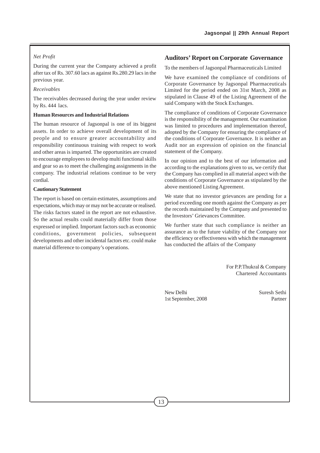## *Net Profit*

During the current year the Company achieved a profit after tax of Rs. 307.60 lacs as against Rs.280.29 lacs in the previous year.

## *Receivables*

The receivables decreased during the year under review by Rs. 444 lacs.

### **Human Resources and Industrial Relations**

The human resource of Jagsonpal is one of its biggest assets. In order to achieve overall development of its people and to ensure greater accountability and responsibility continuous training with respect to work and other areas is imparted. The opportunities are created to encourage employees to develop multi functional skills and gear so as to meet the challenging assignments in the company. The industrial relations continue to be very cordial.

#### **Cautionary Statement**

The report is based on certain estimates, assumptions and expectations, which may or may not be accurate or realised. The risks factors stated in the report are not exhaustive. So the actual results could materially differ from those expressed or implied. Important factors such as economic conditions, government policies, subsequent developments and other incidental factors etc. could make material difference to company's operations.

## **Auditors' Report on Corporate Governance**

To the members of Jagsonpal Pharmaceuticals Limited

We have examined the compliance of conditions of Corporate Governance by Jagsonpal Pharmaceuticals Limited for the period ended on 31st March, 2008 as stipulated in Clause 49 of the Listing Agreement of the said Company with the Stock Exchanges.

The compliance of conditions of Corporate Governance is the responsibility of the management. Our examination was limited to procedures and implementation thereof, adopted by the Company for ensuring the compliance of the conditions of Corporate Governance. It is neither an Audit nor an expression of opinion on the financial statement of the Company.

In our opinion and to the best of our information and according to the explanations given to us, we certify that the Company has complied in all material aspect with the conditions of Corporate Governance as stipulated by the above mentioned Listing Agreement.

We state that no investor grievances are pending for a period exceeding one month against the Company as per the records maintained by the Company and presented to the Investors' Grievances Committee.

We further state that such compliance is neither an assurance as to the future viability of the Company nor the efficiency or effectiveness with which the management has conducted the affairs of the Company

> For P.P.Thukral & Company Chartered Accountants

New Delhi Suresh Sethi 1st September, 2008 Partner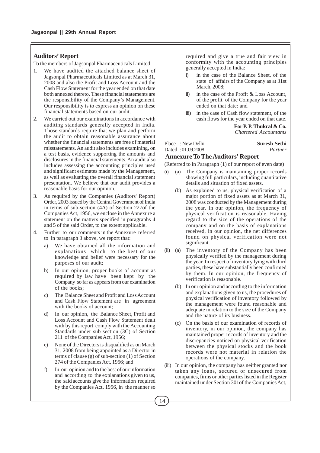## **Auditors' Report**

To the members of Jagsonpal Pharmaceuticals Limited

- We have audited the attached balance sheet of Jagsonpal Pharmaceuticals Limited as at March 31, 2008 and also the Profit and Loss Account and the Cash Flow Statement for the year ended on that date both annexed thereto. These financial statements are the responsibility of the Company's Management. Our responsibility is to express an opinion on these financial statements based on our audit.
- 2. We carried out our examinations in accordance with auditing standards generally accepted in India. Those standards require that we plan and perform the audit to obtain reasonable assurance about whether the financial statements are free of material misstatements. An audit also includes examining, on a test basis, evidence supporting the amounts and disclosures in the financial statements. An audit also includes assessing the accounting principles used and significant estimates made by the Management, as well as evaluating the overall financial statement presentation. We believe that our audit provides a reasonable basis for our opinion.
- As required by the Companies (Auditors' Report) Order, 2003 issued by the Central Government of India in terms of sub-section (4A) of Section 227of the Companies Act, 1956, we enclose in the Annexure a statement on the matters specified in paragraphs 4 and 5 of the said Order, to the extent applicable.
- 4. Further to our comments in the Annexure referred to in paragraph 3 above, we report that:
	- a) We have obtained all the information and explanations which to the best of our knowledge and belief were necessary for the purposes of our audit;
	- b) In our opinion, proper books of account as required by law have been kept by the Company so far as appears from our examination of the books;
	- c) The Balance Sheet and Profit and Loss Account and Cash Flow Statement are in agreement with the books of account;
	- d) In our opinion, the Balance Sheet, Profit and Loss Account and Cash Flow Statement dealt with by this report comply with the Accounting Standards under sub section (3C) of Section 211 of the Companies Act, 1956;
	- e) None of the Directors is disqualified as on March 31, 2008 from being appointed as a Director in terms of clause (g) of sub-section (1) of Section 274 of the Companies Act, 1956; and
	- f) In our opinion and to the best of our information and according to the explanations given to us, the said accounts give the information required by the Companies Act, 1956, in the manner so

required and give a true and fair view in conformity with the accounting principles generally accepted in India:

- i) in the case of the Balance Sheet, of the state of affairs of the Company as at 31st March, 2008;
- ii) in the case of the Profit & Loss Account, of the profit of the Company for the year ended on that date: and
- iii) in the case of Cash flow statement, of the cash flows for the year ended on that date.

**For P. P. Thukral & Co.** *Chartered Accountants*

Place : New Delhi **Suresh Sethi** 

# Dated : 01.09.2008 *Partner*

#### **Annexure To The Auditors' Report**

(Referred to in Paragraph (1) of our report of even date)

- (i) (a) The Company is maintaining proper records showing full particulars, including quantitative details and situation of fixed assets.
	- (b) As explained to us, physical verification of a major portion of fixed assets as at March 31, 2008 was conducted by the Management during the year. In our opinion, the frequency of physical verification is reasonable. Having regard to the size of the operations of the company and on the basis of explanations received, in our opinion, the net differences found on physical verification were not significant.
- (ii) (a) The inventory of the Company has been physically verified by the management during the year. In respect of inventory lying with third parties, these have substantially been confirmed by them. In our opinion, the frequency of verification is reasonable.
	- (b) In our opinion and according to the information and explanations given to us, the procedures of physical verification of inventory followed by the management were found reasonable and adequate in relation to the size of the Company and the nature of its business.
	- (c) On the basis of our examination of records of inventory, in our opinion, the company has maintained proper records of inventory and the discrepancies noticed on physical verification between the physical stocks and the book records were not material in relation the operations of the company.
- (iii) In our opinion, the company has neither granted nor taken any loans, secured or unsecured from companies, firms or other parties listed in the Register maintained under Section 301of the Companies Act,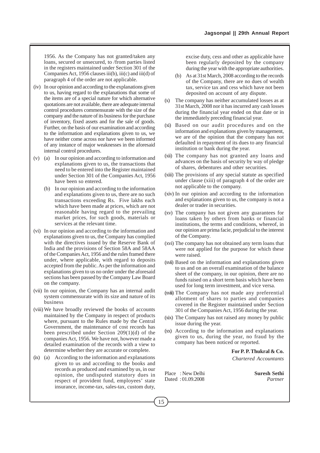1956. As the Company has not granted/taken any loans, secured or unsecured, to /from parties listed in the registers maintained under Section 301 of the Companies Act, 1956 clauses iii(b), iii(c) and iii(d) of paragraph 4 of the order are not applicable.

- (iv) In our opinion and according to the explanations given to us, having regard to the explanations that some of the items are of a special nature for which alternative quotations are not available, there are adequate internal control procedures commensurate with the size of the company and the nature of its business for the purchase of inventory, fixed assets and for the sale of goods. Further, on the basis of our examination and according to the information and explanations given to us, we have neither come across nor have we been informed of any instance of major weaknesses in the aforesaid internal control procedures.
- (v) (a) In our opinion and according to information and explanations given to us, the transactions that need to be entered into the Register maintained under Section 301 of the Companies Act, 1956 have been so entered.
	- (b) In our opinion and according to the information and explanations given to us, there are no such transactions exceeding Rs. Five lakhs each which have been made at prices, which are not reasonable having regard to the prevailing market prices, for such goods, materials or services at the relevant time.
- (vi) In our opinion and according to the information and explanations given to us, the Company has complied with the directives issued by the Reserve Bank of India and the provisions of Section 58A and 58AA of the Companies Act, 1956 and the rules framed there under, where applicable, with regard to deposits accepted from the public. As per the information and explanations given to us no order under the aforesaid sections has been passed by the Company Law Board on the company.
- (vii) In our opinion, the Company has an internal audit system commensurate with its size and nature of its business
- (viii) We have broadly reviewed the books of accounts maintained by the Company in respect of products where, pursuant to the Rules made by the Central Government, the maintenance of cost records has been prescribed under Section 209(1)(d) of the companies Act, 1956. We have not, however made a detailed examination of the records with a view to determine whether they are accurate or complete.
- (ix) (a) According to the information and explanations given to us and according to the books and records as produced and examined by us, in our opinion, the undisputed statutory dues in respect of provident fund, employees' state insurance, income-tax, sales-tax, custom duty,

excise duty, cess and other as applicable have been regularly deposited by the company during the year with the appropriate authorities.

- (b) As at 31st March, 2008 according to the records of the Company, there are no dues of wealth tax, service tax and cess which have not been deposited on account of any dispute.
- (x) The company has neither accumulated losses as at 31st March, 2008 nor it has incurred any cash losses during the financial year ended on that date or in the immediately preceding financial year.
- (xi) Based on our audit procedures and on the information and explanations given by management, we are of the opinion that the company has not defaulted in repayment of its dues to any financial institution or bank during the year.
- (xii) The company has not granted any loans and advances on the basis of security by way of pledge of shares, debentures and other securities.
- (xiii) The provisions of any special statute as specified under clause (xiii) of paragraph 4 of the order are not applicable to the company.
- (xiv) In our opinion and according to the information and explanations given to us, the company is not a dealer or trader in securities.
- (xv) The company has not given any guarantees for loans taken by others from banks or financial institutions, the terms and conditions, whereof, in our opinion are prima facie, prejudicial to the interest of the Company.
- (xvi) The company has not obtained any term loans that were not applied for the purpose for which these were raised.
- (xvii) Based on the information and explanations given to us and on an overall examination of the balance sheet of the company, in our opinion, there are no funds raised on a short term basis which have been used for long term investment, and vice versa.
- (xviii) The Company has not made any preferential allotment of shares to parties and companies covered in the Register maintained under Section 301 of the Companies Act, 1956 during the year.
- (xix) The Company has not raised any money by public issue during the year.
- (xx) According to the information and explanations given to us, during the year, no fraud by the company has been noticed or reported.

**For P. P. Thukral & Co.** *Chartered Accountants*

Place : New Delhi **Suresh Sethi** Dated : 01.09.2008 *Partner*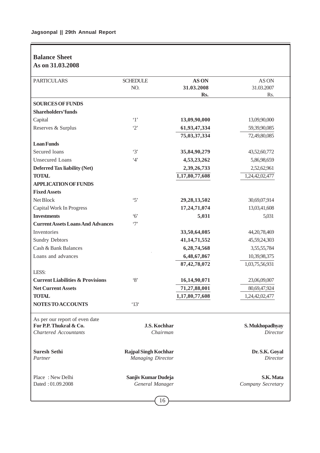# **Balance Sheet As on 31.03.2008**

| <b>PARTICULARS</b>                          | <b>SCHEDULE</b>             | AS ON           | AS ON             |
|---------------------------------------------|-----------------------------|-----------------|-------------------|
|                                             | NO.                         | 31.03.2008      | 31.03.2007        |
|                                             |                             | Rs.             | Rs.               |
| <b>SOURCES OF FUNDS</b>                     |                             |                 |                   |
| <b>Shareholders'funds</b>                   |                             |                 |                   |
| Capital                                     | $\cdot_1$                   | 13,09,90,000    | 13,09,90,000      |
| Reserves & Surplus                          | $\cdot_2$                   | 61,93,47,334    | 59,39,90,085      |
|                                             |                             | 75,03,37,334    | 72,49,80,085      |
| <b>Loan Funds</b>                           |                             |                 |                   |
| Secured loans                               | $\cdot$ 3'                  | 35,84,90,279    | 43,52,60,772      |
| <b>Unsecured Loans</b>                      | 4'                          | 4,53,23,262     | 5,86,98,659       |
| <b>Deferred Tax liability (Net)</b>         |                             | 2,39,26,733     | 2,52,62,961       |
| <b>TOTAL</b>                                |                             | 1,17,80,77,608  | 1,24,42,02,477    |
| <b>APPLICATION OF FUNDS</b>                 |                             |                 |                   |
| <b>Fixed Assets</b>                         |                             |                 |                   |
| Net Block                                   | $\cdot$ 5'                  | 29, 28, 13, 502 | 30,69,07,914      |
| Capital Work In Progress                    |                             | 17,24,71,074    | 13,03,41,608      |
| <b>Investments</b>                          | $\cdot$ 6'                  | 5,031           | 5,031             |
| <b>Current Assets Loans And Advances</b>    | $\cdot$ 7'                  |                 |                   |
| Inventories                                 |                             | 33,50,64,085    | 44, 20, 78, 469   |
| <b>Sundry Debtors</b>                       |                             | 41, 14, 71, 552 | 45,59,24,303      |
| Cash & Bank Balances                        |                             | 6,28,74,568     | 3,55,55,784       |
| Loans and advances                          |                             | 6,48,67,867     | 10,39,98,375      |
|                                             |                             | 87, 42, 78, 072 | 1,03,75,56,931    |
| LESS:                                       |                             |                 |                   |
| <b>Current Liabilities &amp; Provisions</b> | $\cdot_8$                   | 16,14,90,071    | 23,06,09,007      |
| <b>Net Current Assets</b>                   |                             | 71,27,88,001    | 80,69,47,924      |
| <b>TOTAL</b>                                |                             | 1,17,80,77,608  | 1,24,42,02,477    |
| NOTES TO ACCOUNTS                           | $^{\circ}13^{\circ}$        |                 |                   |
| As per our report of even date              |                             |                 |                   |
| For P.P. Thukral & Co.                      | J.S. Kochhar                |                 | S. Mukhopadhyay   |
| <b>Chartered Accountants</b>                | Chairman                    |                 | <b>Director</b>   |
| <b>Suresh Sethi</b>                         | <b>Rajpal Singh Kochhar</b> |                 | Dr. S.K. Goyal    |
| Partner                                     | <b>Managing Director</b>    |                 | Director          |
| Place: New Delhi                            | Sanjiv Kumar Dudeja         |                 | S.K. Mata         |
| Dated: 01.09.2008                           | General Manager             |                 | Company Secretary |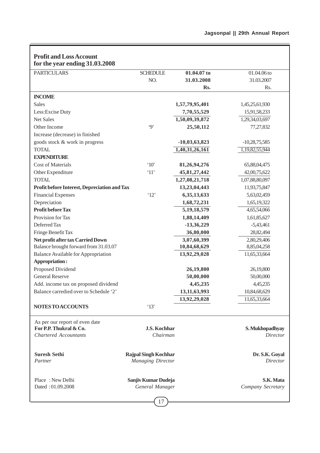$\equiv$ 

| <b>PARTICULARS</b>                           | <b>SCHEDULE</b>             | 01.04.07 to     | 01.04.06 to       |
|----------------------------------------------|-----------------------------|-----------------|-------------------|
|                                              | NO.                         | 31.03.2008      | 31.03.2007        |
|                                              |                             | Rs.             | Rs.               |
| <b>INCOME</b>                                |                             |                 |                   |
| Sales                                        |                             | 1,57,79,95,401  | 1,45,25,61,930    |
| Less: Excise Duty                            |                             | 7,70,55,529     | 15,91,58,233      |
| Net Sales                                    |                             | 1,50,09,39,872  | 1,29,34,03,697    |
| Other Income                                 | $\cdot$ 9'                  | 25,50,112       | 77,27,832         |
| Increase (decrease) in finished              |                             |                 |                   |
| goods stock & work in progress               |                             | $-10,03,63,823$ | $-10,28,75,585$   |
| <b>TOTAL</b>                                 |                             | 1,40,31,26,161  | 1,19,82,55,944    |
| <b>EXPENDITURE</b>                           |                             |                 |                   |
| Cost of Materials                            | $^{\circ}10'$               | 81,26,94,276    | 65,88,04,475      |
| Other Expenditure                            | $^411'$                     | 45,81,27,442    | 42,00,75,622      |
| <b>TOTAL</b>                                 |                             | 1,27,08,21,718  | 1,07,88,80,097    |
| Profit before Interest, Depreciation and Tax |                             | 13,23,04,443    | 11,93,75,847      |
| <b>Financial Expenses</b>                    | '12'                        | 6,35,13,633     | 5,63,02,459       |
| Depreciation                                 |                             | 1,68,72,231     | 1,65,19,322       |
| <b>Profit before Tax</b>                     |                             | 5, 19, 18, 579  | 4,65,54,066       |
| Provision for Tax                            |                             | 1,88,14,409     | 1,61,85,627       |
| Deferred Tax                                 |                             | $-13,36,229$    | $-5,43,461$       |
| Fringe Benefit Tax                           |                             | 36,80,000       | 28,82,494         |
| Net profit after tax Carried Down            |                             | 3,07,60,399     | 2,80,29,406       |
| Balance brought forward from 31.03.07        |                             | 10,84,68,629    | 8,85,04,258       |
| <b>Balance Available for Appropriation</b>   |                             | 13,92,29,028    | 11,65,33,664      |
| Appropriation:                               |                             |                 |                   |
| Proposed Dividend                            |                             | 26,19,800       | 26,19,800         |
| <b>General Reserve</b>                       |                             | 50,00,000       | 50,00,000         |
| Add. income tax on proposed dividend         |                             | 4,45,235        | 4,45,235          |
| Balance carredied over to Schedule '2'       |                             | 13,11,63,993    | 10,84,68,629      |
|                                              |                             | 13,92,29,028    | 11,65,33,664      |
| NOTES TO ACCOUNTS                            | '13'                        |                 |                   |
| As per our report of even date               |                             |                 |                   |
| For P.P. Thukral & Co.                       | J.S. Kochhar                |                 | S. Mukhopadhyay   |
| <b>Chartered Accountants</b>                 | Chairman                    |                 | <b>Director</b>   |
|                                              |                             |                 |                   |
| <b>Suresh Sethi</b>                          | <b>Rajpal Singh Kochhar</b> |                 | Dr. S.K. Goyal    |
| Partner                                      | <b>Managing Director</b>    |                 | Director          |
| Place: New Delhi                             | Sanjiv Kumar Dudeja         |                 | S.K. Mata         |
| Dated: 01.09.2008                            | General Manager             |                 | Company Secretary |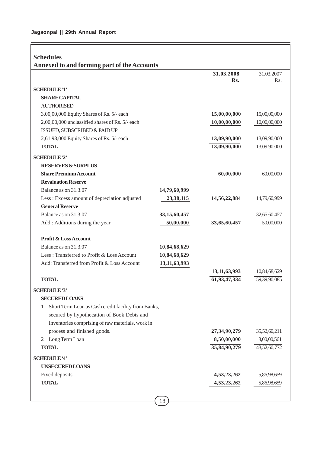Ē

|                                                        |                 | 31.03.2008      | 31.03.2007   |
|--------------------------------------------------------|-----------------|-----------------|--------------|
|                                                        |                 | Rs.             | Rs.          |
| <b>SCHEDULE '1'</b>                                    |                 |                 |              |
| <b>SHARE CAPITAL</b>                                   |                 |                 |              |
| <b>AUTHORISED</b>                                      |                 |                 |              |
| 3,00,00,000 Equity Shares of Rs. 5/- each              |                 | 15,00,00,000    | 15,00,00,000 |
| 2,00,00,000 unclassified shares of Rs. 5/- each        |                 | 10,00,00,000    | 10,00,00,000 |
| ISSUED, SUBSCRIBED & PAID UP                           |                 |                 |              |
| 2,61,98,000 Equity Shares of Rs. 5/- each              |                 | 13,09,90,000    | 13,09,90,000 |
| <b>TOTAL</b>                                           |                 | 13,09,90,000    | 13,09,90,000 |
| <b>SCHEDULE '2'</b>                                    |                 |                 |              |
| <b>RESERVES &amp; SURPLUS</b>                          |                 |                 |              |
| <b>Share Premium Account</b>                           |                 | 60,00,000       | 60,00,000    |
| <b>Revaluation Reserve</b>                             |                 |                 |              |
| Balance as on 31.3.07                                  | 14,79,60,999    |                 |              |
| Less: Excess amount of depreciation adjusted           | 23,38,115       | 14,56,22,884    | 14,79,60,999 |
| <b>General Reserve</b>                                 |                 |                 |              |
| Balance as on 31.3.07                                  | 33, 15, 60, 457 |                 | 32,65,60,457 |
| Add : Additions during the year                        | 50,00,000       | 33,65,60,457    | 50,00,000    |
| <b>Profit &amp; Loss Account</b>                       |                 |                 |              |
| Balance as on 31.3.07                                  | 10,84,68,629    |                 |              |
| Less: Transferred to Profit & Loss Account             | 10,84,68,629    |                 |              |
| Add: Transferred from Profit & Loss Account            | 13,11,63,993    |                 |              |
|                                                        |                 | 13, 11, 63, 993 | 10,84,68,629 |
| <b>TOTAL</b>                                           |                 | 61,93,47,334    | 59,39,90,085 |
| <b>SCHEDULE '3'</b>                                    |                 |                 |              |
| <b>SECURED LOANS</b>                                   |                 |                 |              |
| 1. Short Term Loan as Cash credit facility from Banks, |                 |                 |              |
| secured by hypothecation of Book Debts and             |                 |                 |              |
| Inventories comprising of raw materials, work in       |                 |                 |              |
| process and finished goods.                            |                 | 27, 34, 90, 279 | 35,52,60,211 |
| 2. Long Term Loan                                      |                 | 8,50,00,000     | 8,00,00,561  |
| <b>TOTAL</b>                                           |                 | 35,84,90,279    | 43,52,60,772 |
| <b>SCHEDULE '4'</b>                                    |                 |                 |              |
| <b>UNSECURED LOANS</b>                                 |                 |                 |              |
| Fixed deposits                                         |                 | 4,53,23,262     | 5,86,98,659  |
| <b>TOTAL</b>                                           |                 | 4,53,23,262     | 5,86,98,659  |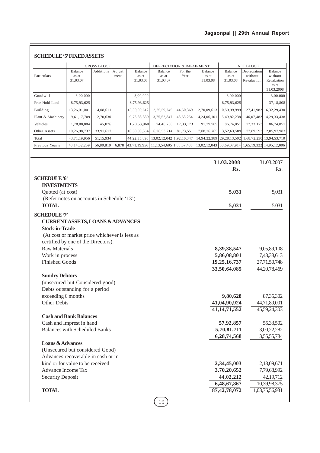# **Jagsonpal || 29th Annual Report**

|                                              |                                               | <b>GROSS BLOCK</b> |                |                              |                                | <b>DEPRECIATION &amp; IMPAIRMENT</b> |                              |                              | NET BLOCK                              |                                                          |
|----------------------------------------------|-----------------------------------------------|--------------------|----------------|------------------------------|--------------------------------|--------------------------------------|------------------------------|------------------------------|----------------------------------------|----------------------------------------------------------|
| Particulars                                  | Balance<br>as at<br>31.03.07                  | Additions          | Adjust<br>ment | Balance<br>as at<br>31.03.08 | Balance<br>as at<br>31.03.07   | For the<br>Year                      | Balance<br>as at<br>31.03.08 | Balance<br>as at<br>31.03.08 | Depreciation<br>without<br>Revaluation | Balance<br>without<br>Revaluation<br>as at<br>31.03.2008 |
| Goodwill                                     | 3,00,000                                      |                    |                | 3,00,000                     |                                |                                      |                              | 3,00,000                     |                                        | 3,00,000                                                 |
| Free Hold Land                               | 8,75,93,625                                   |                    |                | 8,75,93,625                  |                                |                                      |                              | 8,75,93,625                  |                                        | 37,18,808                                                |
| Building                                     | 13,26,01,001                                  | 4,08,611           |                | 13,30,09,612                 | 2,25,59,245                    | 44,50,369                            | 2,70,09,613                  | 10,59,99,999                 | 27,41,982                              | 6,32,29,430                                              |
| Plant & Machinery                            | 9,61,17,709                                   | 12,70,630          |                | 9,73,88,339                  | 3,75,52,847                    | 48,53,254                            | 4,24,06,101                  | 5,49,82,238                  | 46,07,482                              | 4,29,33,438                                              |
| Vehicles                                     | 1,78,08,884                                   | 45,076             |                | 1,78,53,960                  | 74,46,736                      | 17,33,173                            | 91,79,909                    | 86,74,051                    | 17,33,173                              | 86,74,051                                                |
| Other Assets                                 | 10,26,98,737                                  | 33,91,617          |                | 10,60,90,354                 | 6,26,53,214                    | 81,73,551                            | 7,08,26,765                  | 3,52,63,589                  | 77,89,593                              | 2,05,97,983                                              |
| Total                                        | 43,71,19,956                                  | 51,15,934          |                | 44,22,35,890                 | 13,02,12,042 1,92,10,347       |                                      | 14,94,22,389                 | 29, 28, 13, 502              | 1,68,72,230                            | 13,94,53,710                                             |
| Previous Year's                              | 43, 14, 32, 259                               | 56,80,819          | 6,878          | 43,71,19,956                 | 11, 13, 54, 605 1, 88, 57, 438 |                                      | 13,02,12,043                 | 30,69,07,914                 |                                        | 1,65,19,322 14,95,12,006                                 |
|                                              |                                               |                    |                |                              |                                |                                      |                              | 31.03.2008                   |                                        | 31.03.2007                                               |
|                                              |                                               |                    |                |                              |                                |                                      |                              | Rs.                          |                                        | Rs.                                                      |
|                                              |                                               |                    |                |                              |                                |                                      |                              |                              |                                        |                                                          |
| <b>SCHEDULE '6'</b><br><b>INVESTMENTS</b>    |                                               |                    |                |                              |                                |                                      |                              |                              |                                        |                                                          |
| Quoted (at cost)                             |                                               |                    |                |                              |                                |                                      |                              | 5,031                        |                                        | 5,031                                                    |
|                                              | (Refer notes on accounts in Schedule '13')    |                    |                |                              |                                |                                      |                              |                              |                                        |                                                          |
| <b>TOTAL</b>                                 |                                               |                    |                |                              |                                |                                      |                              | 5,031                        |                                        | 5,031                                                    |
|                                              |                                               |                    |                |                              |                                |                                      |                              |                              |                                        |                                                          |
| <b>SCHEDULE '7'</b><br><b>Stock-in-Trade</b> | <b>CURRENTASSETS, LOANS &amp; ADVANCES</b>    |                    |                |                              |                                |                                      |                              |                              |                                        |                                                          |
|                                              | (At cost or market price whichever is less as |                    |                |                              |                                |                                      |                              |                              |                                        |                                                          |
| certified by one of the Directors).          |                                               |                    |                |                              |                                |                                      |                              |                              |                                        |                                                          |
| <b>Raw Materials</b>                         |                                               |                    |                |                              |                                |                                      |                              | 8,39,38,547                  |                                        |                                                          |
| Work in process                              |                                               |                    |                |                              |                                |                                      |                              | 5,86,08,801                  |                                        | 9,05,89,108<br>7,43,38,613                               |
| <b>Finished Goods</b>                        |                                               |                    |                |                              |                                |                                      |                              | 19,25,16,737<br>33,50,64,085 |                                        | 27,71,50,748<br>44,20,78,469                             |
| <b>Sundry Debtors</b>                        |                                               |                    |                |                              |                                |                                      |                              |                              |                                        |                                                          |
|                                              | (unsecured but Considered good)               |                    |                |                              |                                |                                      |                              |                              |                                        |                                                          |
|                                              | Debts outstanding for a period                |                    |                |                              |                                |                                      |                              |                              |                                        |                                                          |
| exceeding 6 months                           |                                               |                    |                |                              |                                |                                      |                              | 9,80,628                     |                                        | 87,35,302                                                |
| Other Debts                                  |                                               |                    |                |                              |                                |                                      |                              | 41,04,90,924                 |                                        | 44,71,89,001                                             |
|                                              |                                               |                    |                |                              |                                |                                      |                              | 41, 14, 71, 552              |                                        | 45,59,24,303                                             |
|                                              | <b>Cash and Bank Balances</b>                 |                    |                |                              |                                |                                      |                              |                              |                                        |                                                          |
| Cash and Imprest in hand                     |                                               |                    |                |                              |                                |                                      |                              | 57,92,857                    |                                        | 55,33,502                                                |
| <b>Balances with Scheduled Banks</b>         |                                               |                    |                |                              |                                |                                      |                              | 5,70,81,711                  |                                        | 3,00,22,282                                              |
|                                              |                                               |                    |                |                              |                                |                                      |                              | 6,28,74,568                  |                                        | 3,55,55,784                                              |
| <b>Loans &amp; Advances</b>                  |                                               |                    |                |                              |                                |                                      |                              |                              |                                        |                                                          |
|                                              | (Unsecured but considered Good)               |                    |                |                              |                                |                                      |                              |                              |                                        |                                                          |
|                                              | Advances recoverable in cash or in            |                    |                |                              |                                |                                      |                              |                              |                                        |                                                          |
| kind or for value to be received             |                                               |                    |                |                              |                                |                                      |                              | 2,34,45,003                  |                                        | 2,18,09,671                                              |
| Advance Income Tax                           |                                               |                    |                |                              |                                |                                      |                              | 3,70,20,652                  |                                        | 7,79,68,992                                              |
| <b>Security Deposit</b>                      |                                               |                    |                |                              |                                |                                      |                              | 44,02,212<br>6,48,67,867     |                                        | 42,19,712<br>10,39,98,375                                |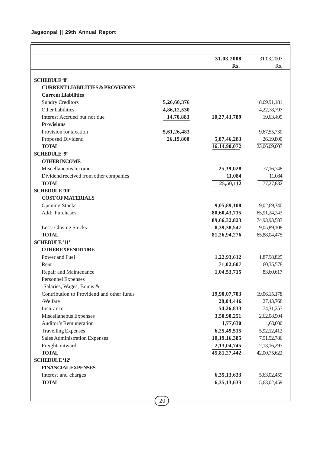|                                                       |             | 31.03.2008              | 31.03.2007   |
|-------------------------------------------------------|-------------|-------------------------|--------------|
|                                                       |             | Rs.                     | Rs.          |
|                                                       |             |                         |              |
| <b>SCHEDULE '8'</b>                                   |             |                         |              |
| <b>CURRENT LIABILITIES &amp; PROVISIONS</b>           |             |                         |              |
| <b>Current Liabilities</b>                            |             |                         |              |
| <b>Sundry Creditors</b>                               | 5,26,60,376 |                         | 8,69,91,181  |
| Other liabilities                                     | 4,86,12,530 |                         | 4,22,78,797  |
| Interest Accrued but not due                          | 14,70,883   | 10,27,43,789            | 19,63,499    |
| <b>Provisions</b>                                     |             |                         |              |
| Provision for taxation                                | 5,61,26,483 |                         | 9,67,55,730  |
| Proposed Dividend                                     | 26,19,800   | 5,87,46,283             | 26,19,800    |
| <b>TOTAL</b>                                          |             | 16,14,90,072            | 23,06,09,007 |
| <b>SCHEDULE '9'</b>                                   |             |                         |              |
| <b>OTHERINCOME</b>                                    |             |                         |              |
| Miscellaneous Income                                  |             | 25,39,028               | 77,16,748    |
| Dividend received from other companies                |             | 11,084                  | 11,084       |
| <b>TOTAL</b>                                          |             | 25,50,112               | 77,27,832    |
| <b>SCHEDULE '10'</b>                                  |             |                         |              |
| <b>COST OF MATERIALS</b>                              |             |                         |              |
| <b>Opening Stocks</b>                                 |             | 9,05,89,108             | 9,02,69,340  |
| Add: Purchases                                        |             | 80,60,43,715            | 65,91,24,243 |
|                                                       |             | 89,66,32,823            | 74,93,93,583 |
| Less: Closing Stocks                                  |             | 8,39,38,547             | 9,05,89,108  |
| <b>TOTAL</b>                                          |             | 81,26,94,276            | 65,88,04,475 |
| <b>SCHEDULE</b> '11'                                  |             |                         |              |
| <b>OTHER EXPENDITURE</b>                              |             |                         |              |
| Power and Fuel                                        |             | 1,22,93,612             | 1,87,98,825  |
| Rent                                                  |             | 71,02,607               | 60,35,578    |
| Repair and Maintenance                                |             | 1,04,53,715             | 83,60,617    |
| Personnel Expenses                                    |             |                         |              |
| -Salaries, Wages, Bonus &                             |             |                         |              |
| Contribution to Providend and other funds<br>-Welfare |             | 19,90,07,703            | 19,06,15,178 |
|                                                       |             | 28,04,446               | 27,43,768    |
| Insurance                                             |             | 54,26,833               | 74,31,257    |
| Miscellaneous Expenses<br>Auditor's Remuneration      |             | 3,50,90,251<br>1,77,630 | 2,62,08,904  |
|                                                       |             |                         | 1,60,000     |
| <b>Travelling Expenses</b>                            |             | 6,25,49,515             | 5,92,12,412  |
| <b>Sales Administration Expenses</b>                  |             | 10,19,16,385            | 7,91,92,786  |
| Freight outward<br><b>TOTAL</b>                       |             | 2,13,04,745             | 2,13,16,297  |
|                                                       |             | 45,81,27,442            | 42,00,75,622 |
| <b>SCHEDULE '12'</b>                                  |             |                         |              |
| <b>FINANCIAL EXPENSES</b>                             |             |                         |              |
| Interest and charges                                  |             | 6,35,13,633             | 5,63,02,459  |
| <b>TOTAL</b>                                          |             | 6,35,13,633             | 5,63,02,459  |
|                                                       |             |                         |              |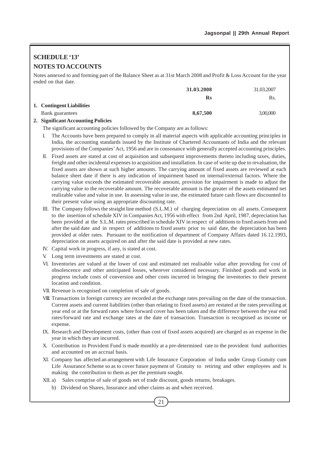# **SCHEDULE '13' NOTES TO ACCOUNTS**

Notes annexed to and forming part of the Balance Sheet as at 31st March 2008 and Profit & Loss Account for the year ended on that date.

|                           | 31.03.2008     | 31.03.2007 |
|---------------------------|----------------|------------|
|                           | $\mathbf{R}$ s | Rs.        |
| 1. Contingent Liabilities |                |            |
| Bank guarantees           | 8,67,500       | 3,00,000   |

## **2. Significant Accounting Policies**

The significant accounting policies followed by the Company are as follows:

- I. The Accounts have been prepared to comply in all material aspects with applicable accounting principles in India, the accounting standards issued by the Institute of Chartered Accountants of India and the relevant provisions of the Companies' Act, 1956 and are in consonance with generally accepted accounting principles.
- II. Fixed assets are stated at cost of acquisition and subsequent improvements thereto including taxes, duties, freight and other incidental expenses to acquisition and installation. In case of write up due to revaluation, the fixed assets are shown at such higher amounts. The carrying amount of fixed assets are reviewed at each balance sheet date if there is any indication of impairment based on internal/external factors. Where the carrying value exceeds the estimated recoverable amount, provision for impairment is made to adjust the carrying value to the recoverable amount. The recoverable amount is the greater of the assets estimated net realizable value and value in use. In assessing value in use, the estimated future cash flows are discounted to their present value using an appropriate discounting rate.
- III. The Company follows the straight line method (S.L.M.) of charging depreciation on all assets. Consequent to the insertion of schedule XIV in Companies Act, 1956 with effect from 2nd April, 1987, depreciation has been provided at the S.L.M. rates prescribed in schedule XIV in respect of additions to fixed assets from and after the said date and in respect of additions to fixed assets prior to said date, the depreciation has been provided at older rates. Pursuant to the notification of department of Company Affairs dated 16.12.1993, depreciation on assets acquired on and after the said date is provided at new rates.
- IV. Capital work in progress, if any, is stated at cost.
- V. Long term investments are stated at cost.
- VI. Inventories are valued at the lower of cost and estimated net realisable value after providing for cost of obsolescence and other anticipated losses, wherever considered necessary. Finished goods and work in progress include costs of conversion and other costs incurred in bringing the inventories to their present location and condition.
- VII. Revenue is recognised on completion of sale of goods.
- VIII. Transactions in foreign currency are recorded at the exchange rates prevailing on the date of the transaction. Current assets and current liabilities (other than relating to fixed assets) are restated at the rates prevailing at year end or at the forward rates where forward cover has been taken and the difference between the year end rates/forward rate and exchange rates at the date of transaction. Transaction is recognised as income or expense.
- IX. Research and Development costs, (other than cost of fixed assets acquired) are charged as an expense in the year in which they are incurred.
- X. Contribution to Provident Fund is made monthly at a pre-determined rate to the provident fund authorities and accounted on an accrual basis.
- XI. Company has affected an arrangement with Life Insurance Corporation of India under Group Gratuity cum Life Assurance Scheme so as to cover future payment of Gratuity to retiring and other employees and is making the contribution to them as per the premium sought.
- XII. a) Sales comprise of sale of goods net of trade discount, goods returns, breakages.
	- b) Dividend on Shares, Insurance and other claims as and when received.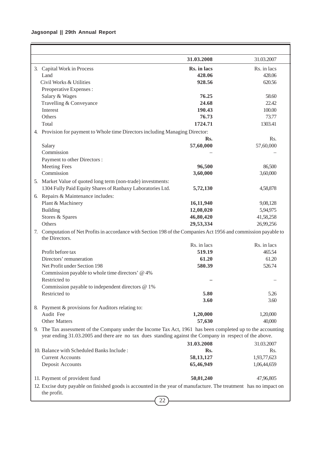## **Jagsonpal || 29th Annual Report**

|                                                                                                                     | 31.03.2008   | 31.03.2007   |
|---------------------------------------------------------------------------------------------------------------------|--------------|--------------|
| 3. Capital Work in Process                                                                                          | Rs. in lacs  | Rs. in lacs  |
| Land                                                                                                                | 428.06       | 428.06       |
| Civil Works & Utilities                                                                                             | 928.56       | 620.56       |
| Preoperative Expenses:                                                                                              |              |              |
| Salary & Wages                                                                                                      | 76.25        | 58.60        |
| Travelling & Conveyance                                                                                             | 24.68        | 22.42        |
| Interest                                                                                                            | 190.43       | 100.00       |
| Others                                                                                                              | 76.73        | 73.77        |
| Total                                                                                                               | 1724.71      | 1303.41      |
| Provision for payment to Whole time Directors including Managing Director:<br>4.                                    |              |              |
|                                                                                                                     | Rs.          | Rs.          |
| Salary<br>Commission                                                                                                | 57,60,000    | 57,60,000    |
| Payment to other Directors :                                                                                        |              |              |
| <b>Meeting Fees</b>                                                                                                 | 96,500       | 86,500       |
| Commission                                                                                                          | 3,60,000     | 3,60,000     |
| 5. Market Value of quoted long term (non-trade) investments:                                                        |              |              |
| 1304 Fully Paid Equity Shares of Ranbaxy Laboratories Ltd.                                                          | 5,72,130     | 4,58,878     |
| 6. Repairs & Maintenance includes:                                                                                  |              |              |
| Plant & Machinery                                                                                                   | 16,11,940    | 9,08,128     |
| <b>Building</b>                                                                                                     | 12,08,020    | 5,94,975     |
| Stores & Spares                                                                                                     | 46,80,420    | 41,58,258    |
| Others                                                                                                              | 29,53,334    | 26,99,256    |
| Computation of Net Profits in accordance with Section 198 of the Companies Act 1956 and commission payable to<br>7. |              |              |
| the Directors.                                                                                                      |              |              |
|                                                                                                                     | Rs. in lacs  | Rs. in lacs  |
| Profit before tax                                                                                                   | 519.19       | 465.54       |
| Directors' remuneration                                                                                             | 61.20        | 61.20        |
| Net Profit under Section 198                                                                                        | 580.39       | 526.74       |
| Commission payable to whole time directors' @ 4%                                                                    |              |              |
| Restricted to                                                                                                       |              |              |
| Commission payable to independent directors $@1\%$                                                                  |              |              |
| Restricted to                                                                                                       | 5.80<br>3.60 | 5.26<br>3.60 |
| 8. Payment & provisions for Auditors relating to:                                                                   |              |              |
| Audit Fee                                                                                                           | 1,20,000     | 1,20,000     |
| <b>Other Matters</b>                                                                                                | 57,630       | 40,000       |
| 9. The Tax assessment of the Company under the Income Tax Act, 1961 has been completed up to the accounting         |              |              |
| year ending 31.03.2005 and there are no tax dues standing against the Company in respect of the above.              |              |              |
|                                                                                                                     | 31.03.2008   | 31.03.2007   |
| 10. Balance with Scheduled Banks Include:                                                                           | Rs.          | Rs.          |
| <b>Current Accounts</b>                                                                                             | 58, 13, 127  | 1,93,77,623  |
| Deposit Accounts                                                                                                    | 65,46,949    | 1,06,44,659  |
|                                                                                                                     |              |              |
| 11. Payment of provident fund                                                                                       | 50,01,240    | 47,96,805    |
| 12. Excise duty payable on finished goods is accounted in the year of manufacture. The treatment has no impact on   |              |              |
| the profit.                                                                                                         |              |              |
| 22                                                                                                                  |              |              |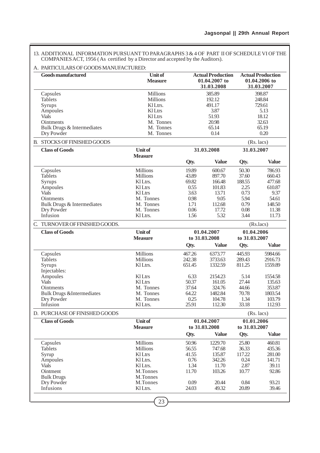13. ADDITIONAL INFORMATION PURSUANT TO PARAGRAPHS 3 & 4 OF PART II OF SCHEDULE VI OF THE COMPANIES ACT, 1956 ( As certified by a Director and accepted by the Auditors).

## A. PARTICULARS OF GOODS MANUFACTURED:

| <b>Goods manufactured</b>                                                                                                                    | Unit of<br><b>Measure</b>                                                                                                           |                                                                         | <b>Actual Production</b><br>01.04.2007 to<br>31.03.2008                          |                                                                          | <b>Actual Production</b><br>01.04.2006 to<br>31.03.2007                           |  |
|----------------------------------------------------------------------------------------------------------------------------------------------|-------------------------------------------------------------------------------------------------------------------------------------|-------------------------------------------------------------------------|----------------------------------------------------------------------------------|--------------------------------------------------------------------------|-----------------------------------------------------------------------------------|--|
| Capsules<br><b>Tablets</b><br>Syrups<br>Ampoules<br><b>Vials</b><br><b>Ointments</b><br>Bulk Drugs & Intermediates<br>Dry Powder             | <b>Millions</b><br><b>Millions</b><br>KlLtrs.<br>Kl Ltrs<br><b>Kl</b> Ltrs<br>M. Tonnes<br>M. Tonnes<br>M. Tonnes                   |                                                                         | 385.89<br>192.12<br>491.17<br>3.87<br>51.93<br>20.98<br>65.14<br>0.14            |                                                                          | 398.87<br>248.84<br>729.61<br>5.13<br>18.12<br>32.63<br>65.19<br>0.20             |  |
| B. STOCKS OF FINISHED GOODS                                                                                                                  |                                                                                                                                     |                                                                         |                                                                                  |                                                                          | $(Rs.$ lacs $)$                                                                   |  |
| <b>Class of Goods</b>                                                                                                                        | <b>Unit of</b><br><b>Measure</b>                                                                                                    |                                                                         | 31.03.2008                                                                       | 31.03.2007                                                               |                                                                                   |  |
|                                                                                                                                              |                                                                                                                                     | Qty.                                                                    | <b>Value</b>                                                                     | Qty.                                                                     | <b>Value</b>                                                                      |  |
| Capsules<br><b>Tablets</b><br>Syrups<br>Ampoules<br><b>Vials</b><br><b>Ointments</b><br>Bulk Drugs & Intermediates<br>Dry Powder<br>Infusion | <b>Millions</b><br><b>Millions</b><br>KI Ltrs.<br><b>KlLtrs</b><br><b>KlLtrs</b><br>M. Tonnes<br>M. Tonnes<br>M. Tonnes<br>Kl Ltrs. | 19.89<br>43.89<br>69.82<br>0.55<br>3.63<br>0.98<br>1.71<br>0.06<br>1.56 | 600.67<br>897.70<br>166.48<br>101.83<br>13.71<br>9.05<br>112.68<br>17.72<br>5.32 | 50.30<br>37.60<br>188.55<br>2.25<br>0.73<br>5.94<br>0.79<br>0.08<br>3.44 | 786.93<br>660.43<br>477.68<br>610.87<br>9.37<br>54.61<br>148.50<br>11.38<br>11.73 |  |
| C. TURNOVER OF FINISHED GOODS.                                                                                                               |                                                                                                                                     |                                                                         |                                                                                  |                                                                          | (Rs.lacs)                                                                         |  |
| <b>Class of Goods</b>                                                                                                                        | <b>Unit of</b><br><b>Measure</b>                                                                                                    |                                                                         | 01.04.2007<br>to 31.03.2008                                                      | 01.04.2006<br>to 31.03.2007                                              |                                                                                   |  |
|                                                                                                                                              |                                                                                                                                     | Qty.                                                                    | <b>Value</b>                                                                     | Qty.                                                                     | <b>Value</b>                                                                      |  |
| Capsules<br><b>Tablets</b><br>Syrups<br>Injectables:<br>Ampoules                                                                             | <b>Millions</b><br><b>Millions</b><br>Kl Ltrs.<br><b>KlLtrs</b>                                                                     | 467.26<br>242.38<br>651.45<br>6.33                                      | 6373.77<br>3733.63<br>1332.59<br>2154.23                                         | 445.93<br>289.43<br>811.25<br>5.14                                       | 5984.66<br>2916.73<br>1559.89<br>1554.58                                          |  |
| <b>Vials</b><br>Ointments<br><b>Bulk Drugs &amp;Intermediates</b><br>Dry Powder<br>Infusion                                                  | KILtrs<br>M. Tonnes<br>M. Tonnes<br>M. Tonnes<br>Kl Ltrs.                                                                           | 50.37<br>37.64<br>64.22<br>0.25<br>25.91                                | 161.05<br>324.76<br>1482.84<br>104.78<br>112.30                                  | 27.44<br>44.66<br>70.78<br>1.34<br>33.18                                 | 135.63<br>353.87<br>1803.54<br>103.79<br>112.93                                   |  |
| D. PURCHASE OF FINISHED GOODS                                                                                                                |                                                                                                                                     |                                                                         |                                                                                  |                                                                          | (Rs. lacs)                                                                        |  |
| <b>Class of Goods</b>                                                                                                                        | <b>Unit of</b><br><b>Measure</b>                                                                                                    |                                                                         | 01.04.2007<br>to 31.03.2008                                                      | 01.01.2006<br>to 31.03.2007                                              |                                                                                   |  |
|                                                                                                                                              |                                                                                                                                     | Qty.                                                                    | <b>Value</b>                                                                     | Qty.                                                                     | <b>Value</b>                                                                      |  |
| Capsules<br><b>Tablets</b><br>Syrup<br>Ampoules<br><b>Vials</b><br>Ointment<br><b>Bulk Drugs</b><br>Dry Powder<br>Infusions                  | <b>Millions</b><br><b>Millions</b><br><b>Kl</b> Ltrs<br>Kl Ltrs.<br>Kl Ltrs.<br>M.Tonnes<br>M.Tonnes<br>M.Tonnes<br>Kl Ltrs.        | 50.96<br>56.55<br>41.55<br>0.76<br>1.34<br>11.70<br>0.09<br>24.03       | 1229.70<br>747.68<br>135.87<br>342.26<br>11.70<br>103.26<br>20.44<br>49.32       | 25.80<br>36.33<br>117.22<br>0.24<br>2.87<br>10.77<br>0.84<br>20.89       | 460.81<br>435.36<br>281.00<br>141.71<br>39.11<br>92.86<br>93.21<br>39.46          |  |
|                                                                                                                                              | 23                                                                                                                                  |                                                                         |                                                                                  |                                                                          |                                                                                   |  |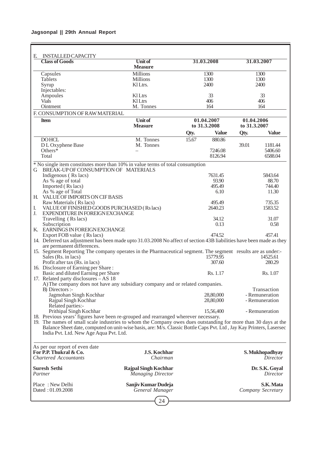| <b>INSTALLED CAPACITY</b><br>E.                                                                                                                                                                                                        |                                  |       |                    |              |                    |
|----------------------------------------------------------------------------------------------------------------------------------------------------------------------------------------------------------------------------------------|----------------------------------|-------|--------------------|--------------|--------------------|
| <b>Class of Goods</b>                                                                                                                                                                                                                  | <b>Unit of</b><br><b>Measure</b> |       | 31.03.2008         |              | 31.03.2007         |
| Capsules                                                                                                                                                                                                                               | <b>Millions</b>                  |       | 1300               |              | 1300               |
| Tablets                                                                                                                                                                                                                                | Millions                         |       | 1300               |              | 1300               |
| Syrup                                                                                                                                                                                                                                  | KI Ltrs.                         |       | 2400               |              | 2400               |
| Injectables:                                                                                                                                                                                                                           |                                  |       |                    |              |                    |
| Ampoules                                                                                                                                                                                                                               | <b>Kl</b> Ltrs                   |       | 33                 |              | 33                 |
| <b>Vials</b>                                                                                                                                                                                                                           | <b>KlLtrs</b>                    |       | 406                |              | 406                |
| Ointment                                                                                                                                                                                                                               | M. Tonnes                        |       | 164                |              | 164                |
| F. CONSUMPTION OF RAW MATERIAL                                                                                                                                                                                                         |                                  |       |                    |              |                    |
| <b>Item</b>                                                                                                                                                                                                                            | <b>Unit of</b>                   |       | 01.04.2007         | 01.04.2006   |                    |
|                                                                                                                                                                                                                                        | <b>Measure</b>                   |       | to 31.3.2008       | to 31.3.2007 |                    |
|                                                                                                                                                                                                                                        |                                  | Qty.  | <b>Value</b>       | Qty.         | <b>Value</b>       |
| <b>DOHCL</b>                                                                                                                                                                                                                           | M. Tonnes                        | 15.67 | 880.86             |              |                    |
| D L Oxyphene Base                                                                                                                                                                                                                      | M. Tonnes                        |       |                    | 39.01        | 1181.44            |
| Others $*$                                                                                                                                                                                                                             |                                  |       | 7246.08            |              | 5406.60            |
| Total                                                                                                                                                                                                                                  |                                  |       | 8126.94            |              | 6588.04            |
| * No single item constitutes more than 10% in value terms of total consumption                                                                                                                                                         |                                  |       |                    |              |                    |
| BREAK-UP OF CONSUMPTION OF MATERIALS<br>G.                                                                                                                                                                                             |                                  |       |                    |              |                    |
| Indigenous (Rs lacs)                                                                                                                                                                                                                   |                                  |       | 7631.45            |              | 5843.64            |
| As % age of total                                                                                                                                                                                                                      |                                  |       | 93.90              |              | 88.70              |
| Imported (Rs lacs)                                                                                                                                                                                                                     |                                  |       | 495.49             |              | 744.40             |
| As % age of Total                                                                                                                                                                                                                      |                                  |       | 6.10               |              | 11.30              |
| H. VALUE OF IMPORTS ON CIF BASIS                                                                                                                                                                                                       |                                  |       |                    |              |                    |
| Raw Materials (Rs lacs)<br>VALUE OF FINISHED GOODS PURCHASED (Rs lacs)<br>I.                                                                                                                                                           |                                  |       | 495.49<br>2640.23  |              | 735.35<br>1583.52  |
| J.<br>EXPENDITURE IN FOREIGN EXCHANGE                                                                                                                                                                                                  |                                  |       |                    |              |                    |
| Travelling (Rs lacs)                                                                                                                                                                                                                   |                                  |       | 34.12              |              | 31.07              |
| Subscription                                                                                                                                                                                                                           |                                  |       | 0.13               |              | 0.58               |
| K. EARNINGS IN FOREIGN EXCHANGE                                                                                                                                                                                                        |                                  |       |                    |              |                    |
| Export FOB value (Rs lacs)                                                                                                                                                                                                             |                                  |       | 474.52             |              | 457.41             |
| 14. Deferred tax adjustment has been made upto 31.03.2008 No affect of section 43B liabilities have been made as they                                                                                                                  |                                  |       |                    |              |                    |
| are permanent differences.                                                                                                                                                                                                             |                                  |       |                    |              |                    |
| 15. Segment Reporting The company operates in the Pharmaceutical segment. The segment results are as under:-                                                                                                                           |                                  |       |                    |              |                    |
| Sales (Rs. in lacs)<br>Profit after tax (Rs. in lacs)                                                                                                                                                                                  |                                  |       | 15779.95<br>307.60 |              | 14525.61<br>280.29 |
| 16. Disclosure of Earning per Share:                                                                                                                                                                                                   |                                  |       |                    |              |                    |
| Basic and diluted Earning per Share                                                                                                                                                                                                    |                                  |       | Rs. 1.17           |              | Rs. 1.07           |
| 17. Related party disclosures - AS 18                                                                                                                                                                                                  |                                  |       |                    |              |                    |
| A) The company does not have any subsidiary company and or related companies.                                                                                                                                                          |                                  |       |                    |              |                    |
| B) Directors :-                                                                                                                                                                                                                        |                                  |       |                    |              | Transaction        |
| Jagmohan Singh Kochhar                                                                                                                                                                                                                 |                                  |       | 28,80,000          |              | - Remuneration     |
| Rajpal Singh Kochhar                                                                                                                                                                                                                   |                                  |       | 28,80,000          |              | - Remuneration     |
| Related parties:-                                                                                                                                                                                                                      |                                  |       |                    |              |                    |
| Prithipal Singh Kochhar                                                                                                                                                                                                                |                                  |       | 15,56,400          |              | - Remuneration     |
| 18. Previous years' figures have been re-grouped and rearranged wherever necessary.                                                                                                                                                    |                                  |       |                    |              |                    |
| 19. The names of small scale industries to whom the Company owes dues outstanding for more than 30 days at the<br>Balance Sheet date, computed on unit-wise basis, are: M/s. Classic Bottle Caps Pvt. Ltd , Jay Kay Printers, Lasersec |                                  |       |                    |              |                    |
| India Pvt. Ltd. New Age Aqua Pvt. Ltd.                                                                                                                                                                                                 |                                  |       |                    |              |                    |
|                                                                                                                                                                                                                                        |                                  |       |                    |              |                    |
|                                                                                                                                                                                                                                        |                                  |       |                    |              |                    |
| As per our report of even date<br>For P.P. Thukral & Co.                                                                                                                                                                               | <b>J.S. Kochhar</b>              |       |                    |              | S. Mukhopadhyay    |
| <b>Chartered Accountants</b>                                                                                                                                                                                                           | Chairman                         |       |                    |              | Director           |
|                                                                                                                                                                                                                                        |                                  |       |                    |              |                    |
| <b>Suresh Sethi</b>                                                                                                                                                                                                                    | <b>Rajpal Singh Kochhar</b>      |       |                    |              | Dr. S.K. Goyal     |
| Partner                                                                                                                                                                                                                                | <b>Managing Director</b>         |       |                    |              | Director           |
|                                                                                                                                                                                                                                        |                                  |       |                    |              |                    |
| Place: New Delhi                                                                                                                                                                                                                       | Sanjiv Kumar Dudeja              |       |                    |              | S.K. Mata          |
| Dated: 01.09.2008                                                                                                                                                                                                                      | General Manager                  |       |                    |              | Company Secretary  |
|                                                                                                                                                                                                                                        | 24                               |       |                    |              |                    |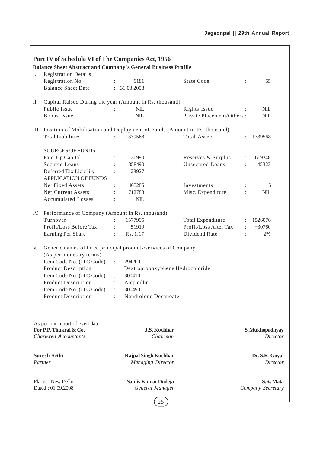|     | Part IV of Schedule VI of The Companies Act, 1956<br><b>Balance Sheet Abstract and Company's General Business Profile</b> |                                                         |                                  |                      |                                   |
|-----|---------------------------------------------------------------------------------------------------------------------------|---------------------------------------------------------|----------------------------------|----------------------|-----------------------------------|
| I.  | <b>Registration Details</b>                                                                                               |                                                         |                                  |                      |                                   |
|     | Registration No.                                                                                                          | 9181                                                    | <b>State Code</b>                |                      | 55                                |
|     | <b>Balance Sheet Date</b>                                                                                                 | : 31.03.2008                                            |                                  |                      |                                   |
| П.  | Capital Raised During the year (Amount in Rs. thousand)                                                                   |                                                         |                                  |                      |                                   |
|     | Public Issue                                                                                                              | NIL                                                     | Rights Issue                     |                      | $NIL$                             |
|     | Bonus Issue                                                                                                               | <b>NIL</b>                                              | Private Placement/Others:        |                      | <b>NIL</b>                        |
|     | III. Position of Mobilisation and Deployment of Funds (Amount in Rs. thousand)                                            |                                                         |                                  |                      |                                   |
|     | <b>Total Liabilities</b>                                                                                                  | 1339568                                                 | <b>Total Assets</b>              |                      | 1339568                           |
|     | <b>SOURCES OF FUNDS</b>                                                                                                   |                                                         |                                  |                      |                                   |
|     | Paid-Up Capital                                                                                                           | 130990                                                  | Reserves & Surplus               | $\ddot{\phantom{a}}$ | 619348                            |
|     | <b>Secured Loans</b>                                                                                                      | 358490                                                  | <b>Unsecured Loans</b>           |                      | 45323                             |
|     | Deferred Tax Liability<br><b>APPLICATION OF FUNDS</b>                                                                     | 23927                                                   |                                  |                      |                                   |
|     | Net Fixed Assets                                                                                                          | 465285                                                  | Investments                      |                      | 5                                 |
|     | Net Current Assets                                                                                                        | 712788                                                  | Misc. Expenditure                |                      | <b>NIL</b>                        |
|     | <b>Accumulated Losses</b>                                                                                                 | NIL<br>$\ddot{\cdot}$                                   |                                  |                      |                                   |
| IV. | Performance of Company (Amount in Rs. thousand)                                                                           |                                                         |                                  |                      |                                   |
|     | Turnover                                                                                                                  | 1577995                                                 | Total Expenditure                |                      | 1526076                           |
|     | Profit/Loss Before Tax                                                                                                    | 51919                                                   | Profit/Loss After Tax            |                      | $+30760$                          |
|     | Earning Per Share                                                                                                         | Rs. 1.17<br>$\ddot{\phantom{a}}$                        | Dividend Rate                    |                      | 2%                                |
| V.  | Generic names of three principal products/services of Company                                                             |                                                         |                                  |                      |                                   |
|     | (As per monetary terms)                                                                                                   |                                                         |                                  |                      |                                   |
|     | Item Code No. (ITC Code)                                                                                                  | 294200<br>÷                                             |                                  |                      |                                   |
|     | <b>Product Description</b>                                                                                                | $\mathbb{R}^{\mathbb{Z}}$                               | Dextropropoxyphene Hydrochloride |                      |                                   |
|     | Item Code No. (ITC Code)                                                                                                  | 300410                                                  |                                  |                      |                                   |
|     | Product Description                                                                                                       | Ampicillin<br>$\ddot{\cdot}$                            |                                  |                      |                                   |
|     | Item Code No. (ITC Code)                                                                                                  | 300490                                                  |                                  |                      |                                   |
|     | <b>Product Description</b>                                                                                                | Nandrolone Decanoate                                    |                                  |                      |                                   |
|     |                                                                                                                           |                                                         |                                  |                      |                                   |
|     | As per our report of even date<br>For P.P. Thukral & Co.                                                                  |                                                         |                                  |                      |                                   |
|     | <b>Chartered Accountants</b>                                                                                              | <b>J.S. Kochhar</b><br>Chairman                         |                                  |                      | S. Mukhopadhyay<br>Director       |
|     |                                                                                                                           |                                                         |                                  |                      |                                   |
|     | <b>Suresh Sethi</b><br>Partner                                                                                            | <b>Rajpal Singh Kochhar</b><br><b>Managing Director</b> |                                  |                      | Dr. S.K. Goyal<br><b>Director</b> |
|     | Place: New Delhi<br>Dated: 01.09.2008                                                                                     | Sanjiv Kumar Dudeja<br>General Manager                  |                                  |                      | S.K. Mata<br>Company Secretary    |
|     |                                                                                                                           | 25                                                      |                                  |                      |                                   |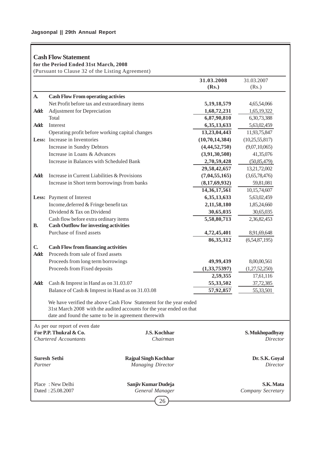# **Cash Flow Statement**

**for the Period Ended 31st March, 2008**

(Pursuant to Clause 32 of the Listing Agreement)

|              |                                                                          |                                                                                                                                           | 31.03.2008                 | 31.03.2007                   |
|--------------|--------------------------------------------------------------------------|-------------------------------------------------------------------------------------------------------------------------------------------|----------------------------|------------------------------|
|              |                                                                          |                                                                                                                                           | (Rs.)                      | (Rs.)                        |
| A.           | <b>Cash Flow From operating activies</b>                                 |                                                                                                                                           |                            |                              |
|              | Net Profit before tax and extraordinary items                            |                                                                                                                                           | 5, 19, 18, 579             | 4,65,54,066                  |
| Add:         | Adjustment for Depreciation                                              |                                                                                                                                           | 1,68,72,231                | 1,65,19,322                  |
|              | Total                                                                    |                                                                                                                                           | 6,87,90,810                | 6,30,73,388                  |
| Add:         | Interest                                                                 |                                                                                                                                           | 6, 35, 13, 633             | 5,63,02,459                  |
|              | Operating profit before working capital changes                          |                                                                                                                                           | 13,23,04,443               | 11,93,75,847                 |
|              | Less: Increase in Inventories                                            |                                                                                                                                           | (10, 70, 14, 384)          | (10, 25, 55, 817)            |
|              | Increase in Sundry Debtors                                               |                                                                                                                                           | (4, 44, 52, 750)           | (9,07,10,065)                |
|              | Increase in Loans & Advances                                             |                                                                                                                                           | (3,91,30,508)              | 41,35,076                    |
|              | Increase in Balances with Scheduled Bank                                 |                                                                                                                                           | 2,70,59,428                | (50, 85, 479)                |
|              |                                                                          |                                                                                                                                           | 29,58,42,657               | 13,21,72,002                 |
| Add:         | Increase in Current Liabilities & Provisions                             |                                                                                                                                           | (7,04,55,165)              | (3,65,78,476)                |
|              | Increase in Short term borrowings from banks                             |                                                                                                                                           | (8,17,69,932)              | 59,81,081                    |
|              |                                                                          |                                                                                                                                           | 14, 36, 17, 561            | 10,15,74,607                 |
|              | Less: Payment of Interest                                                |                                                                                                                                           | 6,35,13,633                | 5,63,02,459                  |
|              | Income, deferred & Fringe benefit tax                                    |                                                                                                                                           | 2,11,58,180                | 1,85,24,660                  |
|              | Dividend & Tax on Dividend                                               |                                                                                                                                           | 30,65,035                  | 30,65,035                    |
| <b>B.</b>    | Cash flow before extra ordinary items                                    |                                                                                                                                           | 5,58,80,713                | 2,36,82,453                  |
|              | <b>Cash Outflow for investing activities</b><br>Purchase of fixed assets |                                                                                                                                           |                            |                              |
|              |                                                                          |                                                                                                                                           | 4,72,45,401<br>86, 35, 312 | 8,91,69,648<br>(6,54,87,195) |
| $\mathbf{C}$ | <b>Cash Flow from financing activities</b>                               |                                                                                                                                           |                            |                              |
| Add:         | Proceeds from sale of fixed assets                                       |                                                                                                                                           |                            |                              |
|              | Proceeds from long term borrowings                                       |                                                                                                                                           | 49,99,439                  | 8,00,00,561                  |
|              | Proceeds from Fixed deposits                                             |                                                                                                                                           | (1,33,75397)               | (1,27,52,250)                |
|              |                                                                          |                                                                                                                                           | 2,59,355                   | 17,61,116                    |
| Add:         | Cash & Imprest in Hand as on 31.03.07                                    |                                                                                                                                           | 55,33,502                  | 37,72,385                    |
|              | Balance of Cash & Imprest in Hand as on 31.03.08                         |                                                                                                                                           | 57,92,857                  | 55,33,501                    |
|              |                                                                          |                                                                                                                                           |                            |                              |
|              | date and found the same to be in agreement therewith                     | We have verified the above Cash Flow Statement for the year ended<br>31st March 2008 with the audited accounts for the year ended on that |                            |                              |
|              | As per our report of even date                                           |                                                                                                                                           |                            |                              |
|              | For P.P. Thukral & Co.                                                   | J.S. Kochhar                                                                                                                              |                            | S. Mukhopadhyay              |
|              | <b>Chartered Accountants</b>                                             | Chairman                                                                                                                                  |                            | <i>Director</i>              |
|              |                                                                          |                                                                                                                                           |                            |                              |
| Partner      | <b>Suresh Sethi</b>                                                      | <b>Rajpal Singh Kochhar</b><br><b>Managing Director</b>                                                                                   |                            | Dr. S.K. Goyal<br>Director   |
|              |                                                                          |                                                                                                                                           |                            |                              |
|              | Place: New Delhi                                                         | Sanjiv Kumar Dudeja                                                                                                                       |                            | S.K. Mata                    |
|              | Dated: 25.08.2007                                                        | General Manager                                                                                                                           |                            | Company Secretary            |
|              |                                                                          | 26                                                                                                                                        |                            |                              |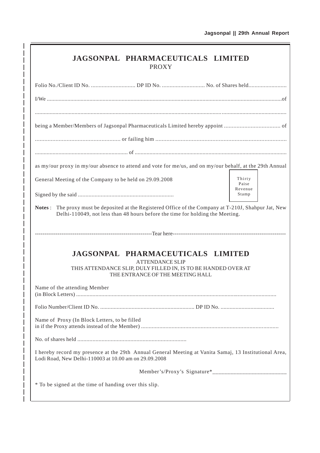| <b>JAGSONPAL PHARMACEUTICALS LIMITED</b><br><b>PROXY</b>                                                                                                                                   |                  |
|--------------------------------------------------------------------------------------------------------------------------------------------------------------------------------------------|------------------|
|                                                                                                                                                                                            |                  |
|                                                                                                                                                                                            |                  |
|                                                                                                                                                                                            |                  |
|                                                                                                                                                                                            |                  |
|                                                                                                                                                                                            |                  |
| as my/our proxy in my/our absence to attend and vote for me/us, and on my/our behalf, at the 29th Annual                                                                                   |                  |
| General Meeting of the Company to be held on 29.09.2008                                                                                                                                    | Thirty<br>Paise  |
|                                                                                                                                                                                            | Revenue<br>Stamp |
| The proxy must be deposited at the Registered Office of the Company at T-210J, Shahpur Jat, New<br>Notes:<br>Delhi-110049, not less than 48 hours before the time for holding the Meeting. |                  |
|                                                                                                                                                                                            |                  |
| JAGSONPAL PHARMACEUTICALS LIMITED<br><b>ATTENDANCE SLIP</b><br>THIS ATTENDANCE SLIP, DULY FILLED IN, IS TO BE HANDED OVER AT<br>THE ENTRANCE OF THE MEETING HALL                           |                  |
| Name of the attending Member                                                                                                                                                               |                  |
|                                                                                                                                                                                            |                  |
| Name of Proxy (In Block Letters, to be filled                                                                                                                                              |                  |
|                                                                                                                                                                                            |                  |
| I hereby record my presence at the 29th Annual General Meeting at Vanita Samaj, 13 Institutional Area,<br>Lodi Road, New Delhi-110003 at 10.00 am on 29.09.2008                            |                  |
|                                                                                                                                                                                            |                  |
| * To be signed at the time of handing over this slip.                                                                                                                                      |                  |

 $\overline{\phantom{a}}$  $\overline{\phantom{a}}$  $\overline{\phantom{a}}$ I

> I I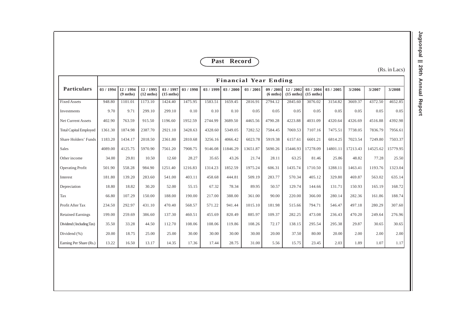|                               |                              |                                 |                                  |                                  |           |           | Past Record |           |                               |                                |                                  |           |          |          | (Rs. in Lacs) |
|-------------------------------|------------------------------|---------------------------------|----------------------------------|----------------------------------|-----------|-----------|-------------|-----------|-------------------------------|--------------------------------|----------------------------------|-----------|----------|----------|---------------|
| <b>Particulars</b>            | <b>Financial Year Ending</b> |                                 |                                  |                                  |           |           |             |           |                               |                                | 3/2008                           |           |          |          |               |
|                               | 03 / 1994                    | 12 / 1994<br>$(9 \text{ mths})$ | 12 / 1995<br>$(12 \text{ mths})$ | 03 / 1997<br>$(15 \text{ mths})$ | 03 / 1998 | 03 / 1999 | 03/2000     | 03 / 2001 | 09/2001<br>$(6 \text{ mths})$ | 12/2002<br>$(15 \text{ mths})$ | 03 / 2004<br>$(15 \text{ mths})$ | 03 / 2005 | 3/2006   | 3/2007   |               |
| <b>Fixed Assets</b>           | 948.80                       | 1101.01                         | 1173.10                          | 1424.40                          | 1475.95   | 1583.51   | 1659.45     | 2816.91   | 2794.12                       | 2845.60                        | 3076.02                          | 3154.82   | 3669.37  | 4372.50  | 4652.85       |
| Investments                   | 9.70                         | 9.71                            | 299.10                           | 299.10                           | 0.10      | 0.10      | 0.10        | 0.05      | 0.05                          | 0.05                           | 0.05                             | 0.05      | 0.05     | 0.05     | 0.05          |
| <b>Net Current Assets</b>     | 402.90                       | 763.59                          | 915.50                           | 1196.60                          | 1952.59   | 2744.99   | 3689.50     | 4465.56   | 4790.28                       | 4223.88                        | 4031.09                          | 4320.64   | 4326.69  | 4516.88  | 4392.98       |
| <b>Total Capital Employed</b> | 1361.30                      | 1874.98                         | 2387.70                          | 2921.10                          | 3428.63   | 4328.60   | 5349.05     | 7282.52   | 7584.45                       | 7069.53                        | 7107.16                          | 7475.51   | 7738.05  | 7836.79  | 7956.61       |
| Share Holders' Funds          | 1183.20                      | 1434.17                         | 2018.50                          | 2361.80                          | 2810.68   | 3256.16   | 4066.42     | 6023.78   | 5919.38                       | 6157.61                        | 6601.21                          | 6814.25   | 7023.54  | 7249.80  | 7503.37       |
| <b>Sales</b>                  | 4089.00                      | 4125.75                         | 5970.90                          | 7561.20                          | 7908.75   | 9146.08   | 11846.29    | 13651.87  | 5690.26                       | 15446.93                       | 17278.09                         | 14801.11  | 17213.43 | 14525.62 | 15779.95      |
| Other income                  | 34.00                        | 29.81                           | 10.50                            | 12.60                            | 28.27     | 35.65     | 43.26       | 21.74     | 28.11                         | 63.25                          | 81.46                            | 25.86     | 48.82    | 77.28    | 25.50         |
| <b>Operating Profit</b>       | 501.90                       | 558.28                          | 984.90                           | 1251.40                          | 1216.83   | 1314.23   | 1852.59     | 1975.24   | 606.31                        | 1435.74                        | 1710.50                          | 1288.11   | 1463.41  | 1193.76  | 1323.04       |
| Interest                      | 181.80                       | 139.20                          | 283.60                           | 541.00                           | 403.11    | 458.68    | 444.81      | 509.19    | 283.77                        | 570.34                         | 405.12                           | 329.80    | 469.87   | 563.02   | 635.14        |
| Depreciation                  | 18.80                        | 18.82                           | 30.20                            | 52.00                            | 55.15     | 67.32     | 78.34       | 89.95     | 50.57                         | 129.74                         | 144.66                           | 131.71    | 150.93   | 165.19   | 168.72        |
| Tax                           | 66.80                        | 107.29                          | 150.00                           | 188.00                           | 190.00    | 217.00    | 388.00      | 361.00    | 90.00                         | 220.00                         | 366.00                           | 280.14    | 282.36   | 161.86   | 188.74        |
| Profit After Tax              | 234.50                       | 292.97                          | 431.10                           | 470.40                           | 568.57    | 571.22    | 941.44      | 1015.10   | 181.98                        | 515.66                         | 794.71                           | 546.47    | 497.18   | 280.29   | 307.60        |
| <b>Retained Earnings</b>      | 199.00                       | 259.69                          | 386.60                           | 137.30                           | 460.51    | 455.69    | 820.49      | 885.97    | 109.37                        | 282.25                         | 473.08                           | 236.43    | 470.20   | 249.64   | 276.96        |
| Dividend (Including Tax)      | 35.50                        | 33.28                           | 44.50                            | 112.70                           | 108.06    | 108.06    | 119.86      | 108.26    | 72.17                         | 138.15                         | 295.54                           | 295.38    | 29.87    | 30.65    | 30.65         |
| Dividend (%)                  | 20.00                        | 18.75                           | 25.00                            | 25.00                            | 30.00     | 30.00     | 30.00       | 30.00     | 20.00                         | 37.50                          | 80.00                            | 20.00     | 2.00     | 2.00     | 2.00          |
| Earning Per Share (Rs.)       | 13.22                        | 16.50                           | 13.17                            | 14.35                            | 17.36     | 17.44     | 28.75       | 31.00     | 5.56                          | 15.75                          | 23.45                            | 2.03      | 1.89     | 1.07     | 1.17          |